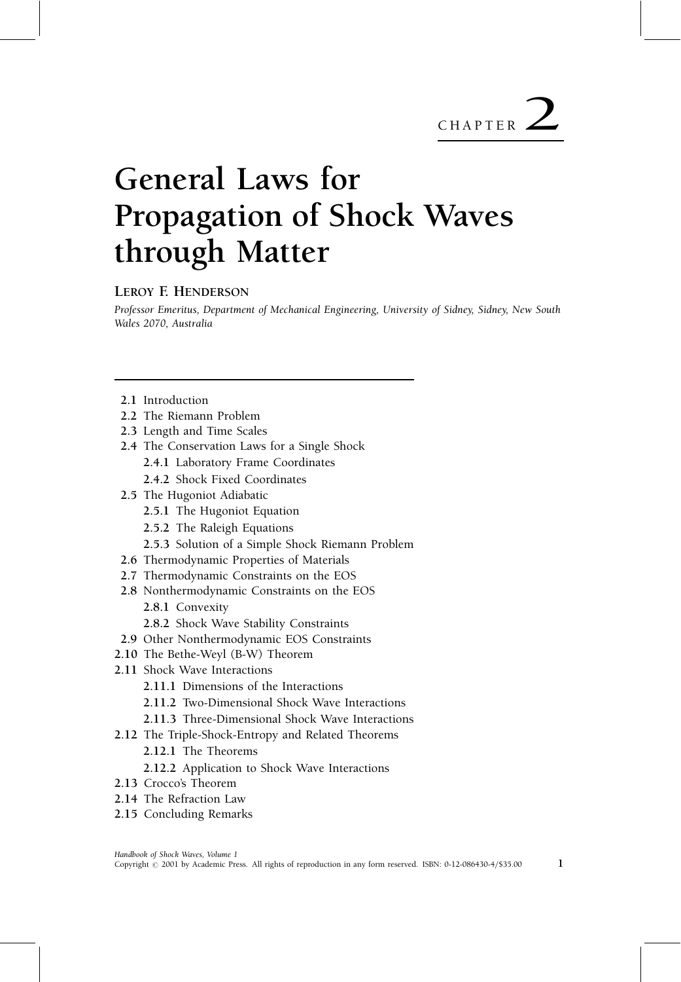#### LEROY F. HENDERSON

Professor Emeritus, Department of Mechanical Engineering, University of Sidney, Sidney, New South Wales 2070, Australia

- 2.1 Introduction
- 2.2 The Riemann Problem
- 2.3 Length and Time Scales
- 2.4 The Conservation Laws for a Single Shock
	- 2.4.1 Laboratory Frame Coordinates
	- 2.4.2 Shock Fixed Coordinates
- 2.5 The Hugoniot Adiabatic
	- 2.5.1 The Hugoniot Equation
	- 2.5.2 The Raleigh Equations
	- 2.5.3 Solution of a Simple Shock Riemann Problem
- 2.6 Thermodynamic Properties of Materials
- 2.7 Thermodynamic Constraints on the EOS
- 2.8 Nonthermodynamic Constraints on the EOS 2.8.1 Convexity
	- 2.8.2 Shock Wave Stability Constraints
- 2.9 Other Nonthermodynamic EOS Constraints
- 2.10 The Bethe-Weyl (B-W) Theorem
- 2.11 Shock Wave Interactions
	- 2.11.1 Dimensions of the Interactions
	- 2.11.2 Two-Dimensional Shock Wave Interactions
	- 2.11.3 Three-Dimensional Shock Wave Interactions
- 2.12 The Triple-Shock-Entropy and Related Theorems
	- 2.12.1 The Theorems
	- 2.12.2 Application to Shock Wave Interactions
- 2.13 Crocco's Theorem
- 2.14 The Refraction Law
- 2.15 Concluding Remarks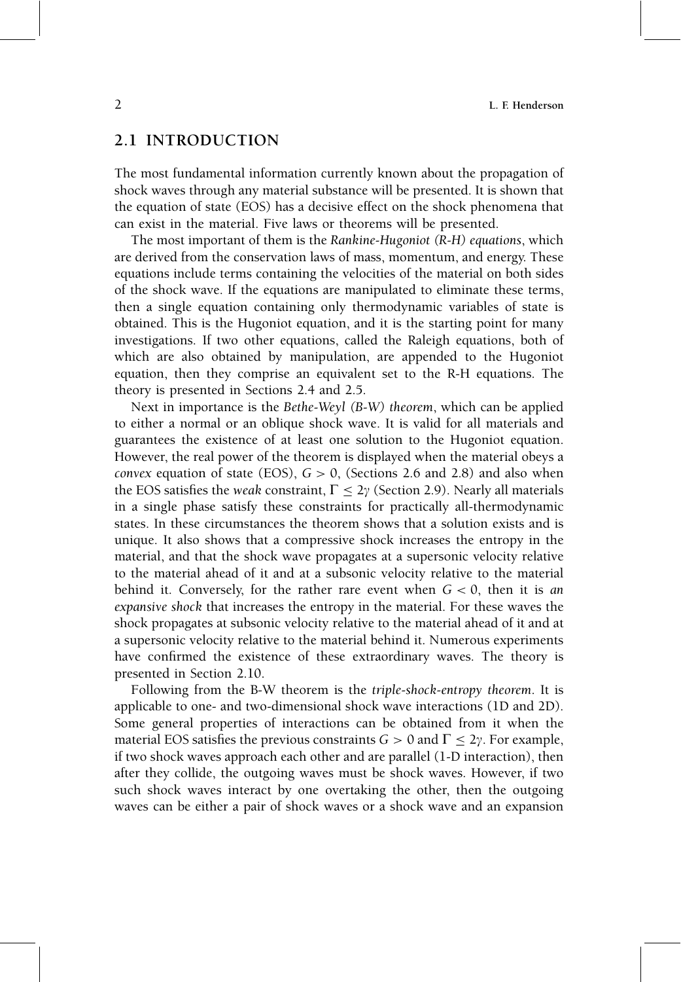### 2.1 INTRODUCTION

The most fundamental information currently known about the propagation of shock waves through any material substance will be presented. It is shown that the equation of state (EOS) has a decisive effect on the shock phenomena that can exist in the material. Five laws or theorems will be presented.

The most important of them is the Rankine-Hugoniot (R-H) equations, which are derived from the conservation laws of mass, momentum, and energy. These equations include terms containing the velocities of the material on both sides of the shock wave. If the equations are manipulated to eliminate these terms, then a single equation containing only thermodynamic variables of state is obtained. This is the Hugoniot equation, and it is the starting point for many investigations. If two other equations, called the Raleigh equations, both of which are also obtained by manipulation, are appended to the Hugoniot equation, then they comprise an equivalent set to the R-H equations. The theory is presented in Sections 2.4 and 2.5.

Next in importance is the Bethe-Weyl (B-W) theorem, which can be applied to either a normal or an oblique shock wave. It is valid for all materials and guarantees the existence of at least one solution to the Hugoniot equation. However, the real power of the theorem is displayed when the material obeys a convex equation of state (EOS),  $G > 0$ , (Sections 2.6 and 2.8) and also when the EOS satisfies the weak constraint,  $\Gamma \leq 2\gamma$  (Section 2.9). Nearly all materials in a single phase satisfy these constraints for practically all-thermodynamic states. In these circumstances the theorem shows that a solution exists and is unique. It also shows that a compressive shock increases the entropy in the material, and that the shock wave propagates at a supersonic velocity relative to the material ahead of it and at a subsonic velocity relative to the material behind it. Conversely, for the rather rare event when  $G < 0$ , then it is an expansive shock that increases the entropy in the material. For these waves the shock propagates at subsonic velocity relative to the material ahead of it and at a supersonic velocity relative to the material behind it. Numerous experiments have confirmed the existence of these extraordinary waves. The theory is presented in Section 2.10.

Following from the B-W theorem is the triple-shock-entropy theorem. It is applicable to one- and two-dimensional shock wave interactions (1D and 2D). Some general properties of interactions can be obtained from it when the material EOS satisfies the previous constraints  $G > 0$  and  $\Gamma \leq 2\gamma$ . For example, if two shock waves approach each other and are parallel (1-D interaction), then after they collide, the outgoing waves must be shock waves. However, if two such shock waves interact by one overtaking the other, then the outgoing waves can be either a pair of shock waves or a shock wave and an expansion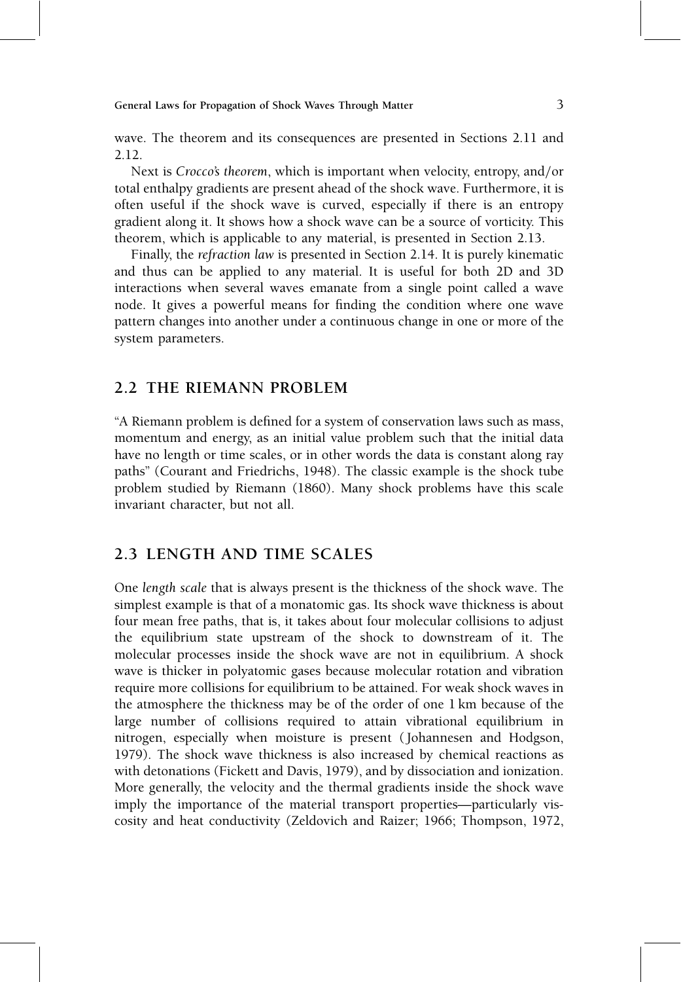wave. The theorem and its consequences are presented in Sections 2.11 and 2.12.

Next is Crocco's theorem, which is important when velocity, entropy, and/or total enthalpy gradients are present ahead of the shock wave. Furthermore, it is often useful if the shock wave is curved, especially if there is an entropy gradient along it. It shows how a shock wave can be a source of vorticity. This theorem, which is applicable to any material, is presented in Section 2.13.

Finally, the refraction law is presented in Section 2.14. It is purely kinematic and thus can be applied to any material. It is useful for both 2D and 3D interactions when several waves emanate from a single point called a wave node. It gives a powerful means for finding the condition where one wave pattern changes into another under a continuous change in one or more of the system parameters.

### 2.2 THE RIEMANN PROBLEM

``A Riemann problem is de®ned for a system of conservation laws such as mass, momentum and energy, as an initial value problem such that the initial data have no length or time scales, or in other words the data is constant along ray paths'' (Courant and Friedrichs, 1948). The classic example is the shock tube problem studied by Riemann (1860). Many shock problems have this scale invariant character, but not all.

### 2.3 LENGTH AND TIME SCALES

One length scale that is always present is the thickness of the shock wave. The simplest example is that of a monatomic gas. Its shock wave thickness is about four mean free paths, that is, it takes about four molecular collisions to adjust the equilibrium state upstream of the shock to downstream of it. The molecular processes inside the shock wave are not in equilibrium. A shock wave is thicker in polyatomic gases because molecular rotation and vibration require more collisions for equilibrium to be attained. For weak shock waves in the atmosphere the thickness may be of the order of one 1 km because of the large number of collisions required to attain vibrational equilibrium in nitrogen, especially when moisture is present ( Johannesen and Hodgson, 1979). The shock wave thickness is also increased by chemical reactions as with detonations (Fickett and Davis, 1979), and by dissociation and ionization. More generally, the velocity and the thermal gradients inside the shock wave imply the importance of the material transport properties—particularly viscosity and heat conductivity (Zeldovich and Raizer; 1966; Thompson, 1972,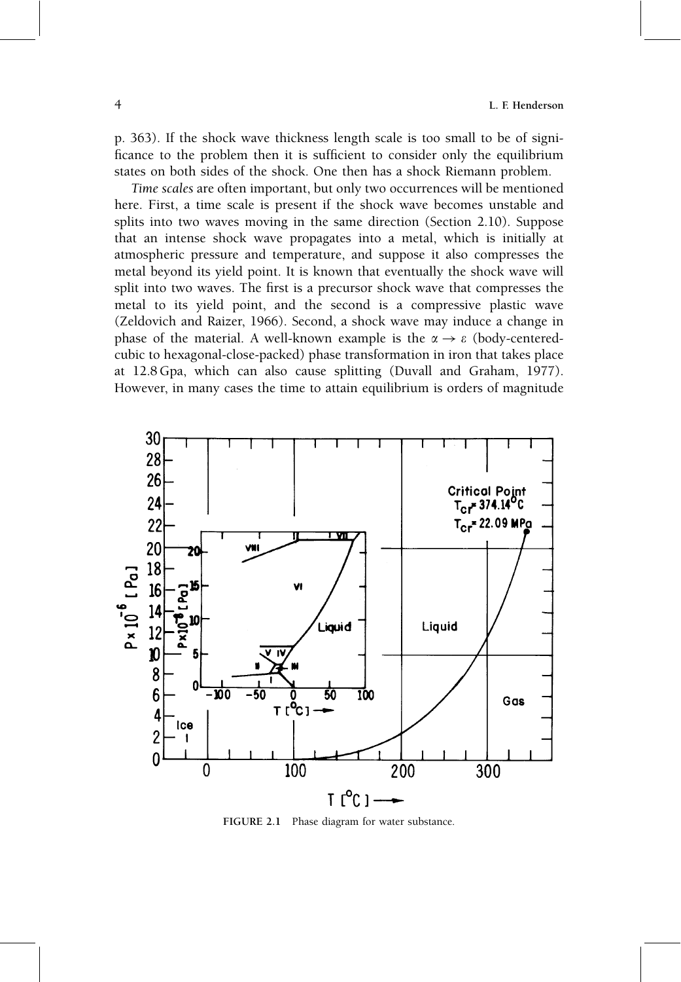p. 363). If the shock wave thickness length scale is too small to be of signi ficance to the problem then it is sufficient to consider only the equilibrium states on both sides of the shock. One then has a shock Riemann problem.

Time scales are often important, but only two occurrences will be mentioned here. First, a time scale is present if the shock wave becomes unstable and splits into two waves moving in the same direction (Section 2.10). Suppose that an intense shock wave propagates into a metal, which is initially at atmospheric pressure and temperature, and suppose it also compresses the metal beyond its yield point. It is known that eventually the shock wave will split into two waves. The first is a precursor shock wave that compresses the metal to its yield point, and the second is a compressive plastic wave (Zeldovich and Raizer, 1966). Second, a shock wave may induce a change in phase of the material. A well-known example is the  $\alpha \rightarrow \varepsilon$  (body-centeredcubic to hexagonal-close-packed) phase transformation in iron that takes place at 12.8 Gpa, which can also cause splitting (Duvall and Graham, 1977). However, in many cases the time to attain equilibrium is orders of magnitude



FIGURE 2.1 Phase diagram for water substance.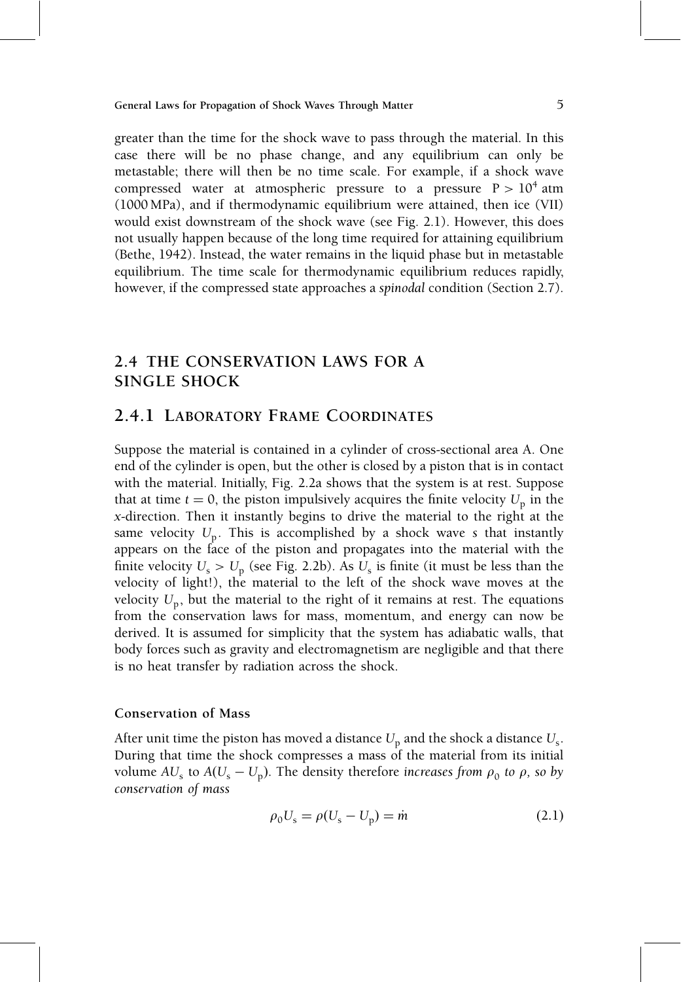greater than the time for the shock wave to pass through the material. In this case there will be no phase change, and any equilibrium can only be metastable; there will then be no time scale. For example, if a shock wave compressed water at atmospheric pressure to a pressure  $P > 10^4$  atm (1000 MPa), and if thermodynamic equilibrium were attained, then ice (VII) would exist downstream of the shock wave (see Fig. 2.1). However, this does not usually happen because of the long time required for attaining equilibrium (Bethe, 1942). Instead, the water remains in the liquid phase but in metastable equilibrium. The time scale for thermodynamic equilibrium reduces rapidly, however, if the compressed state approaches a spinodal condition (Section 2.7).

### 2.4 THE CONSERVATION LAWS FOR A SINGLE SHOCK

### 2.4.1 LABORATORY FRAME COORDINATES

Suppose the material is contained in a cylinder of cross-sectional area A. One end of the cylinder is open, but the other is closed by a piston that is in contact with the material. Initially, Fig. 2.2a shows that the system is at rest. Suppose that at time  $t = 0$ , the piston impulsively acquires the finite velocity  $U_p$  in the x-direction. Then it instantly begins to drive the material to the right at the same velocity  $U_p$ . This is accomplished by a shock wave s that instantly appears on the face of the piston and propagates into the material with the finite velocity  $U_s > U_p$  (see Fig. 2.2b). As  $U_s$  is finite (it must be less than the velocity of light!), the material to the left of the shock wave moves at the velocity  $U_p$ , but the material to the right of it remains at rest. The equations from the conservation laws for mass, momentum, and energy can now be derived. It is assumed for simplicity that the system has adiabatic walls, that body forces such as gravity and electromagnetism are negligible and that there is no heat transfer by radiation across the shock.

#### Conservation of Mass

After unit time the piston has moved a distance  $U_{\rm p}$  and the shock a distance  $U_{\rm s}$ . During that time the shock compresses a mass of the material from its initial volume AU<sub>s</sub> to  $A(U_s - U_p)$ . The density therefore increases from  $\rho_0$  to  $\rho$ , so by conservation of mass

$$
\rho_0 U_s = \rho (U_s - U_p) = \dot{m}
$$
\n(2.1)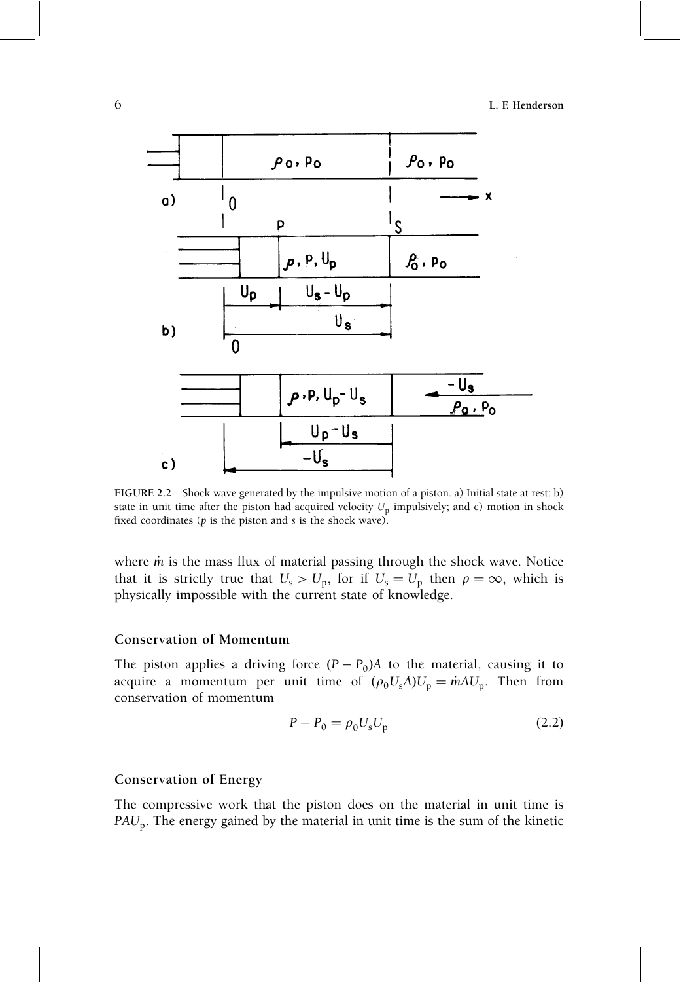

FIGURE 2.2 Shock wave generated by the impulsive motion of a piston. a) Initial state at rest; b) state in unit time after the piston had acquired velocity  $U<sub>p</sub>$  impulsively; and c) motion in shock fixed coordinates ( $p$  is the piston and  $s$  is the shock wave).

where  $\dot{m}$  is the mass flux of material passing through the shock wave. Notice that it is strictly true that  $U_s > U_p$ , for if  $U_s = U_p$  then  $\rho = \infty$ , which is physically impossible with the current state of knowledge.

#### Conservation of Momentum

The piston applies a driving force  $(P - P_0)A$  to the material, causing it to acquire a momentum per unit time of  $(\rho_0U_sA)U_p = \dot{m}AU_p$ . Then from conservation of momentum

$$
P - P_0 = \rho_0 U_s U_p \tag{2.2}
$$

#### Conservation of Energy

The compressive work that the piston does on the material in unit time is  $PAU_p$ . The energy gained by the material in unit time is the sum of the kinetic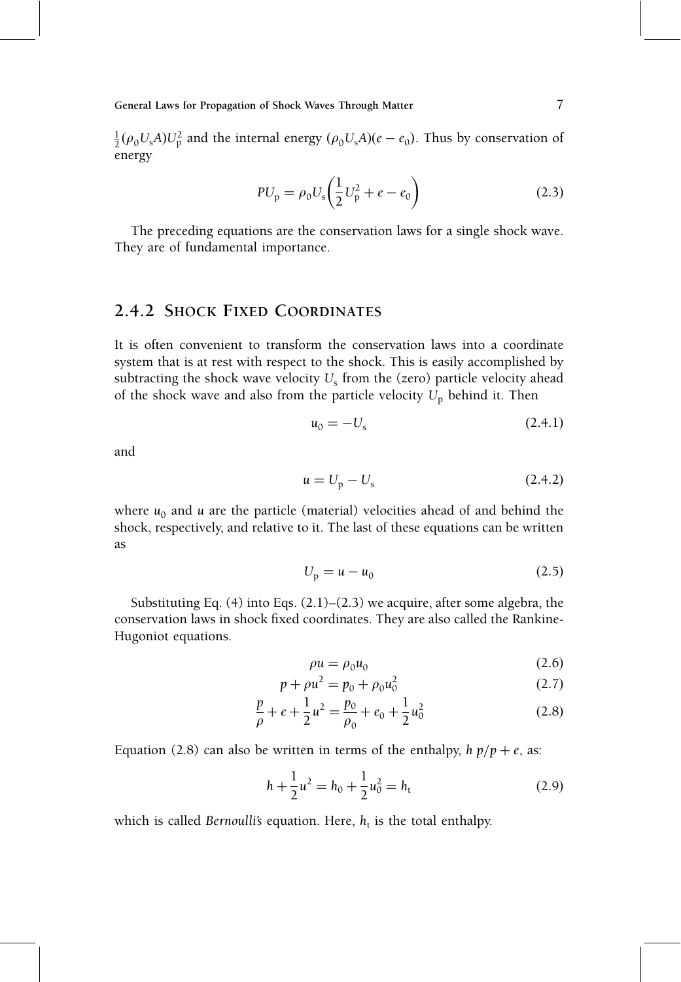$\frac{1}{2}(\rho_0 U_s A) U_p^2$  and the internal energy  $(\rho_0 U_s A)(e - e_0)$ . Thus by conservation of energy

$$
PU_{\rm p} = \rho_0 U_{\rm s} \left( \frac{1}{2} U_{\rm p}^2 + e - e_0 \right)
$$
 (2.3)

The preceding equations are the conservation laws for a single shock wave. They are of fundamental importance.

#### 2.4.2 SHOCK FIXED COORDINATES

It is often convenient to transform the conservation laws into a coordinate system that is at rest with respect to the shock. This is easily accomplished by subtracting the shock wave velocity  $U_s$  from the (zero) particle velocity ahead of the shock wave and also from the particle velocity  $U_p$  behind it. Then

$$
u_0 = -U_{\rm s} \tag{2.4.1}
$$

and

$$
u = Up - Us
$$
 (2.4.2)

where  $u_0$  and u are the particle (material) velocities ahead of and behind the shock, respectively, and relative to it. The last of these equations can be written as

$$
U_{\rm p} = u - u_0 \tag{2.5}
$$

Substituting Eq.  $(4)$  into Eqs.  $(2.1)$ – $(2.3)$  we acquire, after some algebra, the conservation laws in shock fixed coordinates. They are also called the Rankine-Hugoniot equations.

$$
\rho u = \rho_0 u_0 \tag{2.6}
$$

$$
p + \rho u^2 = p_0 + \rho_0 u_0^2 \tag{2.7}
$$

$$
\frac{p}{\rho} + e + \frac{1}{2}u^2 = \frac{p_0}{\rho_0} + e_0 + \frac{1}{2}u_0^2
$$
 (2.8)

Equation (2.8) can also be written in terms of the enthalpy,  $h p/p + e$ , as:

$$
h + \frac{1}{2}u^2 = h_0 + \frac{1}{2}u_0^2 = h_t
$$
 (2.9)

which is called Bernoulli's equation. Here,  $h_t$  is the total enthalpy.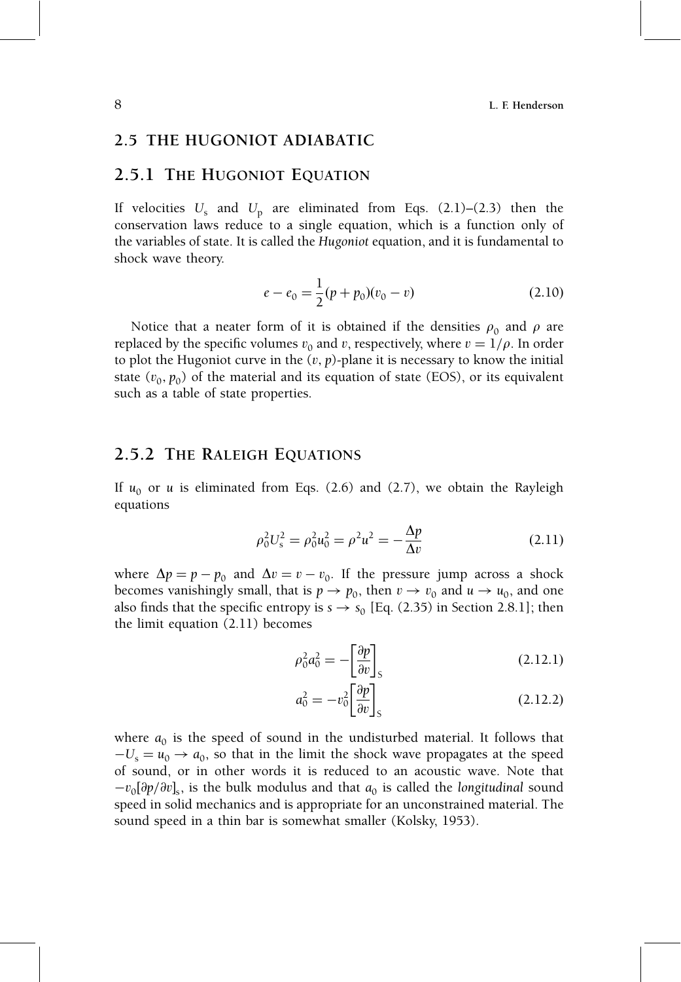#### 2.5 THE HUGONIOT ADIABATIC

### 2.5.1 THE HUGONIOT EQUATION

If velocities  $U_s$  and  $U_p$  are eliminated from Eqs. (2.1)–(2.3) then the conservation laws reduce to a single equation, which is a function only of the variables of state. It is called the Hugoniot equation, and it is fundamental to shock wave theory.

$$
e - e_0 = \frac{1}{2}(p + p_0)(v_0 - v)
$$
\n(2.10)

Notice that a neater form of it is obtained if the densities  $\rho_0$  and  $\rho$  are replaced by the specific volumes  $v_0$  and v, respectively, where  $v = 1/\rho$ . In order to plot the Hugoniot curve in the  $(v, p)$ -plane it is necessary to know the initial state  $(v_0, p_0)$  of the material and its equation of state (EOS), or its equivalent such as a table of state properties.

#### 2.5.2 THE RALEIGH EQUATIONS

If  $u_0$  or u is eliminated from Eqs. (2.6) and (2.7), we obtain the Rayleigh equations

$$
\rho_0^2 U_s^2 = \rho_0^2 u_0^2 = \rho^2 u^2 = -\frac{\Delta p}{\Delta v}
$$
 (2.11)

where  $\Delta p = p - p_0$  and  $\Delta v = v - v_0$ . If the pressure jump across a shock becomes vanishingly small, that is  $p \to p_0$ , then  $v \to v_0$  and  $u \to u_0$ , and one also finds that the specific entropy is  $s \rightarrow s_0$  [Eq. (2.35) in Section 2.8.1]; then the limit equation (2.11) becomes

$$
\rho_0^2 a_0^2 = -\left[\frac{\partial p}{\partial v}\right]_S \tag{2.12.1}
$$

$$
a_0^2 = -v_0^2 \left[\frac{\partial p}{\partial v}\right]_S \tag{2.12.2}
$$

where  $a_0$  is the speed of sound in the undisturbed material. It follows that  $-U_s = u_0 \rightarrow a_0$ , so that in the limit the shock wave propagates at the speed of sound, or in other words it is reduced to an acoustic wave. Note that  $-v_0[\partial p/\partial v]_s$ , is the bulk modulus and that  $a_0$  is called the longitudinal sound speed in solid mechanics and is appropriate for an unconstrained material. The sound speed in a thin bar is somewhat smaller (Kolsky, 1953).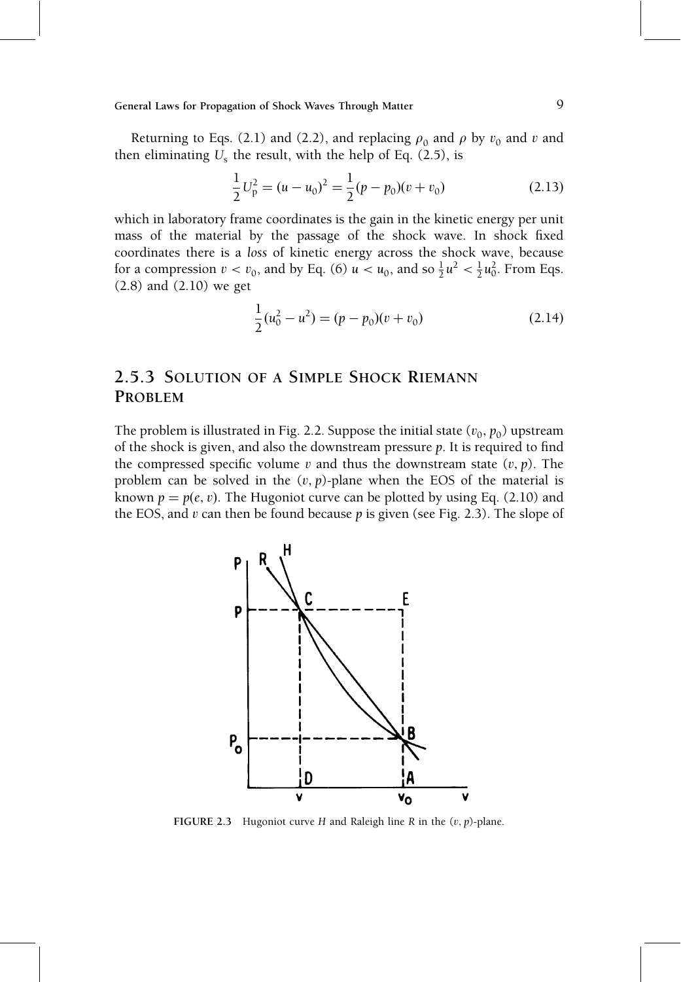Returning to Eqs. (2.1) and (2.2), and replacing  $\rho_0$  and  $\rho$  by  $v_0$  and v and then eliminating  $U_s$  the result, with the help of Eq. (2.5), is

$$
\frac{1}{2}U_p^2 = (u - u_0)^2 = \frac{1}{2}(p - p_0)(v + v_0)
$$
\n(2.13)

which in laboratory frame coordinates is the gain in the kinetic energy per unit mass of the material by the passage of the shock wave. In shock fixed coordinates there is a loss of kinetic energy across the shock wave, because for a compression  $v < v_0$ , and by Eq. (6)  $u < u_0$ , and so  $\frac{1}{2}u^2 < \frac{1}{2}u_0^2$ . From Eqs. (2.8) and (2.10) we get

$$
\frac{1}{2}(u_0^2 - u^2) = (p - p_0)(v + v_0)
$$
\n(2.14)

## 2.5.3 SOLUTION OF A SIMPLE SHOCK RIEMANN PROBLEM

The problem is illustrated in Fig. 2.2. Suppose the initial state  $(v_0, p_0)$  upstream of the shock is given, and also the downstream pressure  $p$ . It is required to find the compressed specific volume v and thus the downstream state  $(v, p)$ . The problem can be solved in the  $(v, p)$ -plane when the EOS of the material is known  $p = p(e, v)$ . The Hugoniot curve can be plotted by using Eq. (2.10) and the EOS, and  $v$  can then be found because  $p$  is given (see Fig. 2.3). The slope of



FIGURE 2.3 Hugoniot curve H and Raleigh line R in the  $(v, p)$ -plane.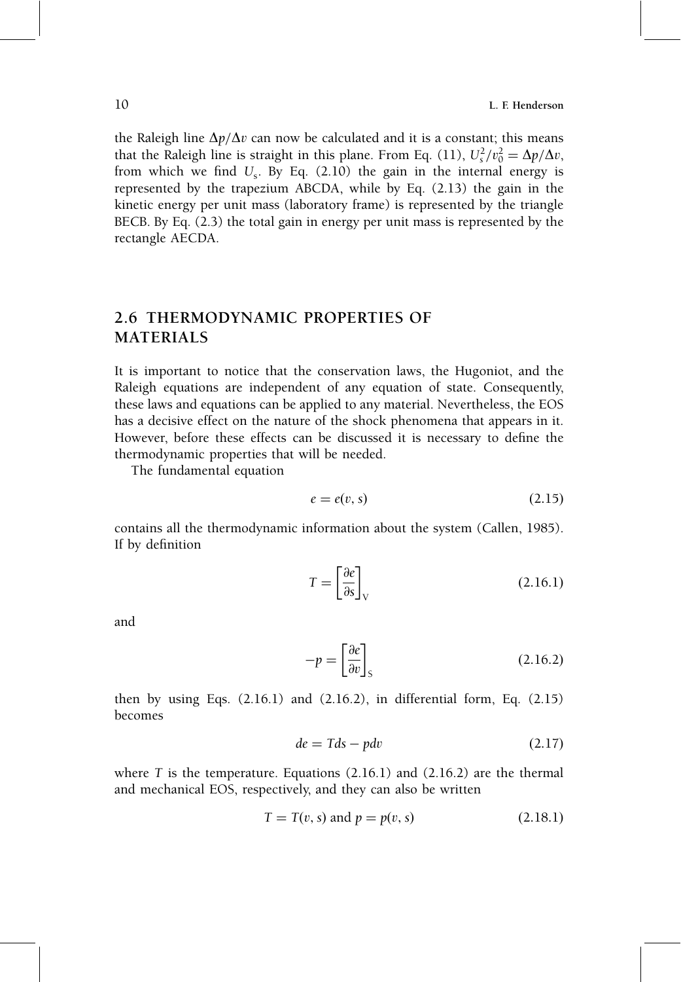the Raleigh line  $\Delta p/\Delta v$  can now be calculated and it is a constant; this means that the Raleigh line is straight in this plane. From Eq. (11),  $U_s^2/v_0^2 = \Delta p/\Delta v$ , from which we find  $U_s$ . By Eq. (2.10) the gain in the internal energy is represented by the trapezium ABCDA, while by Eq. (2.13) the gain in the kinetic energy per unit mass (laboratory frame) is represented by the triangle BECB. By Eq. (2.3) the total gain in energy per unit mass is represented by the rectangle AECDA.

### 2.6 THERMODYNAMIC PROPERTIES OF MATERIALS

It is important to notice that the conservation laws, the Hugoniot, and the Raleigh equations are independent of any equation of state. Consequently, these laws and equations can be applied to any material. Nevertheless, the EOS has a decisive effect on the nature of the shock phenomena that appears in it. However, before these effects can be discussed it is necessary to define the thermodynamic properties that will be needed.

The fundamental equation

$$
e = e(v, s) \tag{2.15}
$$

contains all the thermodynamic information about the system (Callen, 1985). If by definition

$$
T = \left[\frac{\partial e}{\partial s}\right]_{\rm V} \tag{2.16.1}
$$

and

$$
-p = \left[\frac{\partial e}{\partial v}\right]_{S}
$$
 (2.16.2)

then by using Eqs.  $(2.16.1)$  and  $(2.16.2)$ , in differential form, Eq.  $(2.15)$ becomes

$$
de = Tds - pdv \tag{2.17}
$$

where  $T$  is the temperature. Equations  $(2.16.1)$  and  $(2.16.2)$  are the thermal and mechanical EOS, respectively, and they can also be written

$$
T = T(v, s) \text{ and } p = p(v, s)
$$
 (2.18.1)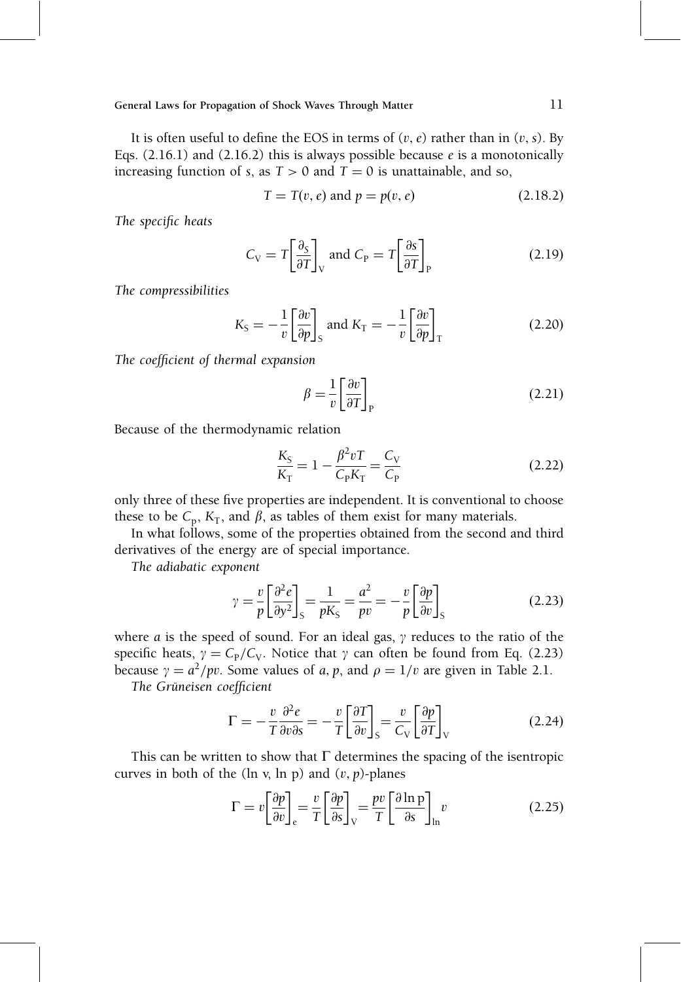It is often useful to define the EOS in terms of  $(v, e)$  rather than in  $(v, s)$ . By Eqs.  $(2.16.1)$  and  $(2.16.2)$  this is always possible because  $e$  is a monotonically increasing function of s, as  $T > 0$  and  $T = 0$  is unattainable, and so,

$$
T = T(v, e) \text{ and } p = p(v, e)
$$
 (2.18.2)

The specific heats

$$
C_{\rm V} = T \left[ \frac{\partial_{\rm S}}{\partial T} \right]_{\rm V} \text{ and } C_{\rm P} = T \left[ \frac{\partial_{\rm S}}{\partial T} \right]_{\rm P}
$$
 (2.19)

The compressibilities

$$
K_{\rm S} = -\frac{1}{v} \left[ \frac{\partial v}{\partial p} \right]_{\rm S} \text{ and } K_{\rm T} = -\frac{1}{v} \left[ \frac{\partial v}{\partial p} \right]_{\rm T} \tag{2.20}
$$

The coefficient of thermal expansion

$$
\beta = \frac{1}{v} \left[ \frac{\partial v}{\partial T} \right]_{P}
$$
\n(2.21)

Because of the thermodynamic relation

$$
\frac{K_{\rm S}}{K_{\rm T}} = 1 - \frac{\beta^2 v \, T}{C_{\rm P} K_{\rm T}} = \frac{C_{\rm V}}{C_{\rm P}} \tag{2.22}
$$

only three of these five properties are independent. It is conventional to choose these to be  $C_p$ ,  $K_T$ , and  $\beta$ , as tables of them exist for many materials.

In what follows, some of the properties obtained from the second and third derivatives of the energy are of special importance.

The adiabatic exponent

$$
\gamma = \frac{v}{p} \left[ \frac{\partial^2 e}{\partial y^2} \right]_S = \frac{1}{pK_S} = \frac{a^2}{pv} = -\frac{v}{p} \left[ \frac{\partial p}{\partial v} \right]_S \tag{2.23}
$$

where a is the speed of sound. For an ideal gas,  $\gamma$  reduces to the ratio of the specific heats,  $\gamma = C_{P}/C_{V}$ . Notice that  $\gamma$  can often be found from Eq. (2.23) because  $\gamma = a^2 / pv$ . Some values of a, p, and  $\rho = 1/v$  are given in Table 2.1.

The Grüneisen coefficient

$$
\Gamma = -\frac{v}{T}\frac{\partial^2 e}{\partial v \partial s} = -\frac{v}{T} \left[ \frac{\partial T}{\partial v} \right]_S = \frac{v}{C_V} \left[ \frac{\partial p}{\partial T} \right]_V \tag{2.24}
$$

This can be written to show that  $\Gamma$  determines the spacing of the isentropic curves in both of the (ln v, ln p) and  $(v, p)$ -planes

$$
\Gamma = v \left[ \frac{\partial p}{\partial v} \right]_{e} = \frac{v}{T} \left[ \frac{\partial p}{\partial s} \right]_{V} = \frac{pv}{T} \left[ \frac{\partial \ln p}{\partial s} \right]_{\ln} v \tag{2.25}
$$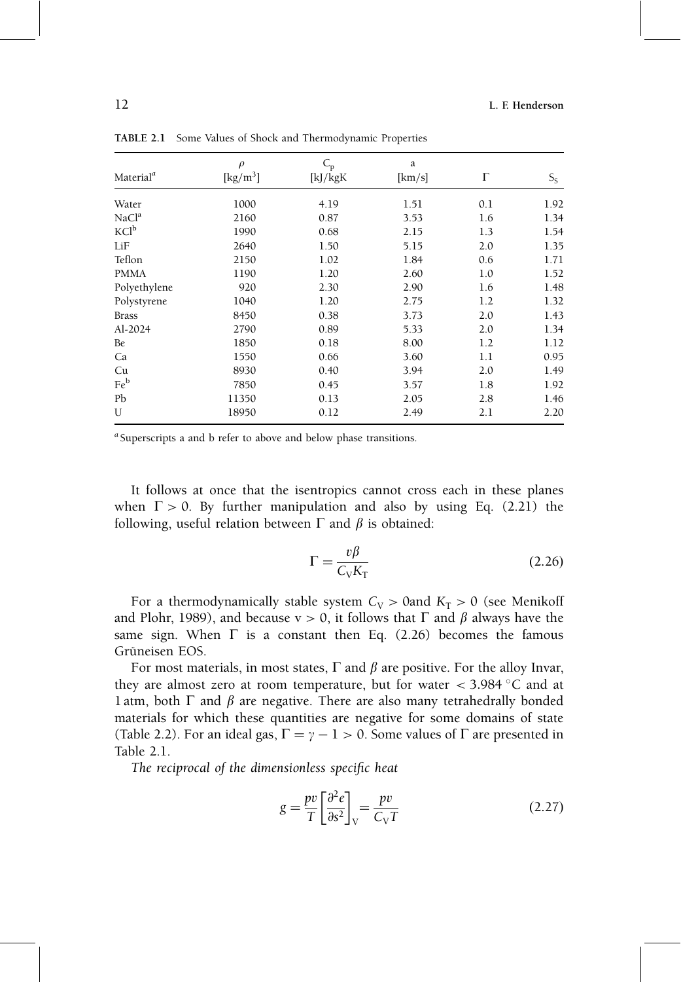|                       | $\rho$                                  | $C_{\rm p}$ | a      |     |       |
|-----------------------|-----------------------------------------|-------------|--------|-----|-------|
| Material <sup>a</sup> | $\left[\mathrm{kg}/\mathrm{m}^3\right]$ | [kJ/kgK     | [km/s] | Г   | $S_S$ |
| Water                 | 1000                                    | 4.19        | 1.51   | 0.1 | 1.92  |
| NaCl <sup>a</sup>     | 2160                                    | 0.87        | 3.53   | 1.6 | 1.34  |
| KCl <sup>b</sup>      | 1990                                    | 0.68        | 2.15   | 1.3 | 1.54  |
| LiF                   | 2640                                    | 1.50        | 5.15   | 2.0 | 1.35  |
| Teflon                | 2150                                    | 1.02        | 1.84   | 0.6 | 1.71  |
| <b>PMMA</b>           | 1190                                    | 1.20        | 2.60   | 1.0 | 1.52  |
| Polyethylene          | 920                                     | 2.30        | 2.90   | 1.6 | 1.48  |
| Polystyrene           | 1040                                    | 1.20        | 2.75   | 1.2 | 1.32  |
| <b>Brass</b>          | 8450                                    | 0.38        | 3.73   | 2.0 | 1.43  |
| Al-2024               | 2790                                    | 0.89        | 5.33   | 2.0 | 1.34  |
| Be                    | 1850                                    | 0.18        | 8.00   | 1.2 | 1.12  |
| Ca                    | 1550                                    | 0.66        | 3.60   | 1.1 | 0.95  |
| Cu                    | 8930                                    | 0.40        | 3.94   | 2.0 | 1.49  |
| Feb                   | 7850                                    | 0.45        | 3.57   | 1.8 | 1.92  |
| Pb                    | 11350                                   | 0.13        | 2.05   | 2.8 | 1.46  |
| U                     | 18950                                   | 0.12        | 2.49   | 2.1 | 2.20  |

TABLE 2.1 Some Values of Shock and Thermodynamic Properties

<sup>a</sup> Superscripts a and b refer to above and below phase transitions.

It follows at once that the isentropics cannot cross each in these planes when  $\Gamma > 0$ . By further manipulation and also by using Eq. (2.21) the following, useful relation between  $\Gamma$  and  $\beta$  is obtained:

$$
\Gamma = \frac{v\beta}{C_V K_\text{T}}\tag{2.26}
$$

For a thermodynamically stable system  $C_V > 0$  and  $K_T > 0$  (see Menikoff and Plohr, 1989), and because  $v > 0$ , it follows that  $\Gamma$  and  $\beta$  always have the same sign. When  $\Gamma$  is a constant then Eq. (2.26) becomes the famous Grüneisen EOS.

For most materials, in most states,  $\Gamma$  and  $\beta$  are positive. For the alloy Invar, they are almost zero at room temperature, but for water  $<$  3.984  $\degree$ C and at 1 atm, both  $\Gamma$  and  $\beta$  are negative. There are also many tetrahedrally bonded materials for which these quantities are negative for some domains of state (Table 2.2). For an ideal gas,  $\Gamma = \gamma - 1 > 0$ . Some values of  $\Gamma$  are presented in Table 2.1.

The reciprocal of the dimensionless specific heat

$$
g = \frac{pv}{T} \left[ \frac{\partial^2 e}{\partial s^2} \right]_V = \frac{pv}{C_V T}
$$
 (2.27)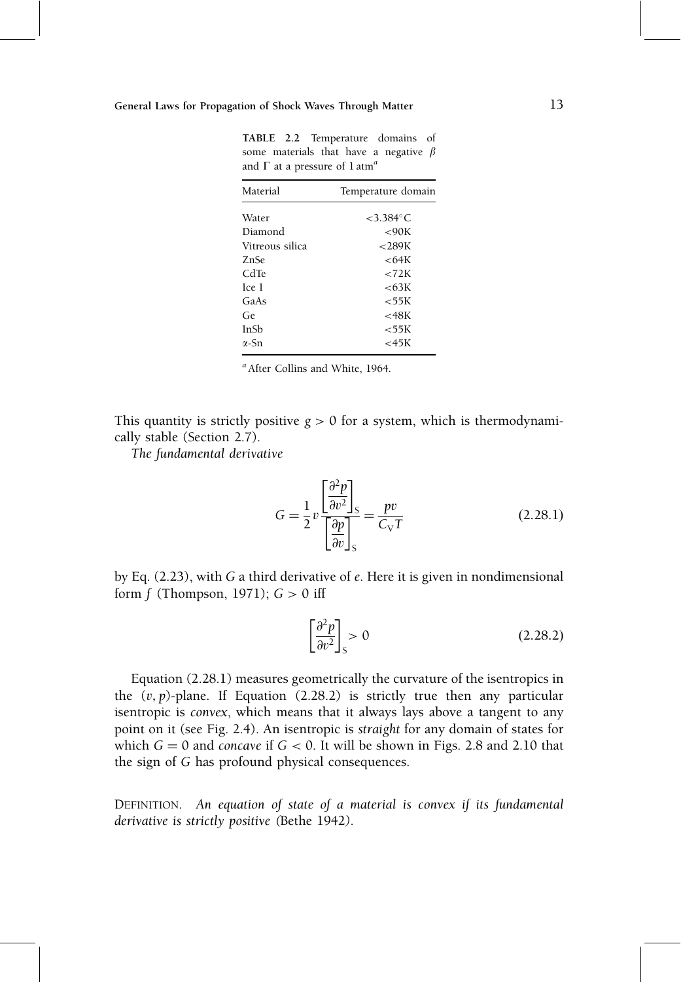| Material        | Temperature domain    |  |  |
|-----------------|-----------------------|--|--|
| Water           | $<$ 3.384 $\degree$ C |  |  |
| Diamond         | <90K                  |  |  |
| Vitreous silica | $<$ 289 $K$           |  |  |
| ZnSe            | <64K                  |  |  |
| CdTe            | $\epsilon$ 72K        |  |  |
| Ice I           | <63K                  |  |  |
| GaAs            | $<$ 55 $K$            |  |  |
| Ge.             | < 48K                 |  |  |
| InSh            | $<$ 55 $K$            |  |  |
| $\alpha$ -Sn    | ${<}45K$              |  |  |
|                 |                       |  |  |

TABLE 2.2 Temperature domains of some materials that have a negative  $\beta$ and  $\Gamma$  at a pressure of  $1$  atm<sup>a</sup>

 $a$ After Collins and White, 1964.

This quantity is strictly positive  $g > 0$  for a system, which is thermodynamically stable (Section 2.7).

The fundamental derivative

$$
G = \frac{1}{2}v \frac{\left[\frac{\partial^2 p}{\partial v^2}\right]_S}{\left[\frac{\partial p}{\partial v}\right]_S} = \frac{pv}{C_V T}
$$
(2.28.1)

by Eq. (2.23), with G a third derivative of e. Here it is given in nondimensional form  $f$  (Thompson, 1971);  $G > 0$  iff

$$
\left[\frac{\partial^2 p}{\partial v^2}\right]_S > 0\tag{2.28.2}
$$

Equation (2.28.1) measures geometrically the curvature of the isentropics in the  $(v, p)$ -plane. If Equation (2.28.2) is strictly true then any particular isentropic is convex, which means that it always lays above a tangent to any point on it (see Fig. 2.4). An isentropic is straight for any domain of states for which  $G = 0$  and concave if  $G < 0$ . It will be shown in Figs. 2.8 and 2.10 that the sign of G has profound physical consequences.

DEFINITION. An equation of state of a material is convex if its fundamental derivative is strictly positive (Bethe 1942).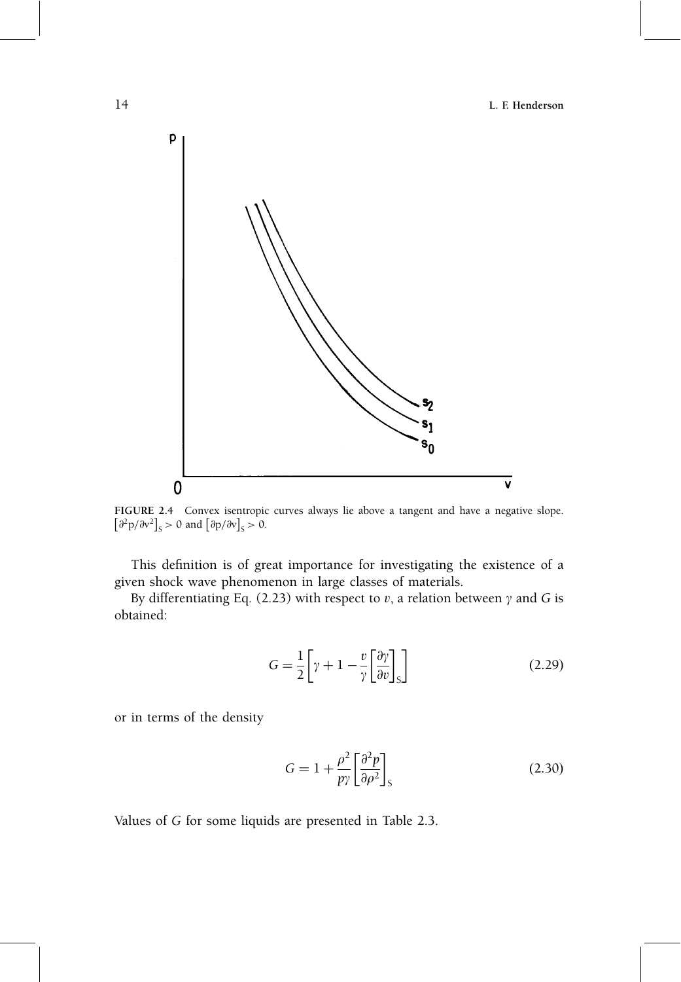14 L. F. Henderson



**FIGURE 2.4** Convex isentropic curves always lie above a tangent and have a negative slope.<br> $\left[\partial^2 p / \partial v^2\right]_S > 0$  and  $\left[\partial p / \partial v\right]_S > 0$ .

This definition is of great importance for investigating the existence of a given shock wave phenomenon in large classes of materials.

By differentiating Eq. (2.23) with respect to  $v$ , a relation between  $\gamma$  and G is obtained:

$$
G = \frac{1}{2} \left[ \gamma + 1 - \frac{v}{\gamma} \left[ \frac{\partial \gamma}{\partial v} \right]_S \right]
$$
 (2.29)

or in terms of the density

$$
G = 1 + \frac{\rho^2}{p\gamma} \left[ \frac{\partial^2 p}{\partial \rho^2} \right]_{S} \tag{2.30}
$$

Values of G for some liquids are presented in Table 2.3.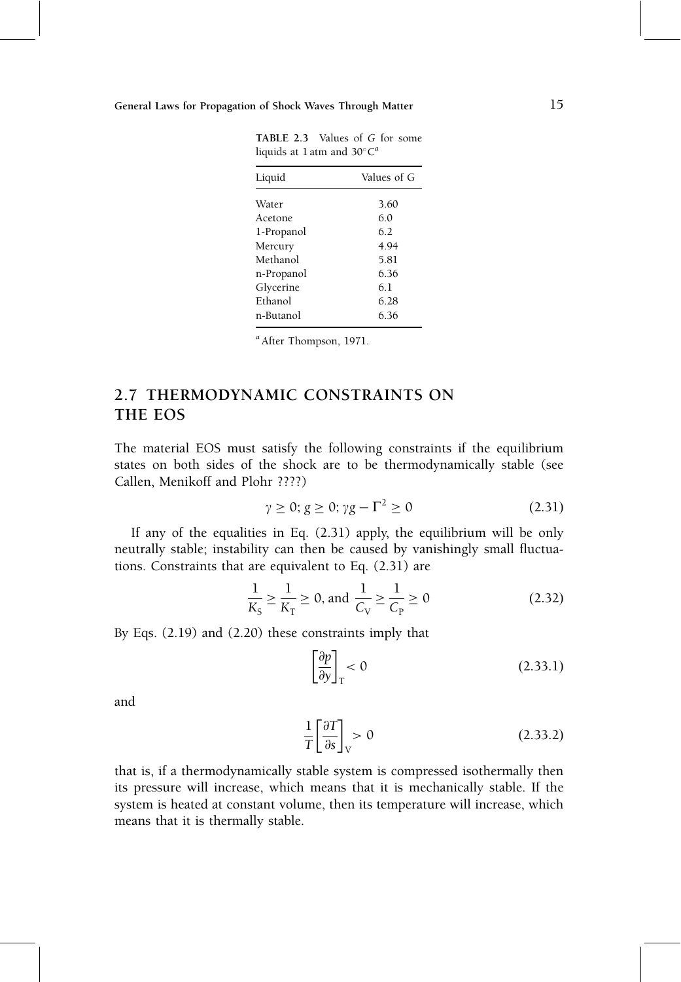| Liquid     | Values of G |  |  |
|------------|-------------|--|--|
| Water      | 3.60        |  |  |
|            |             |  |  |
| Acetone    | 6.0         |  |  |
| 1-Propanol | 6.2         |  |  |
| Mercury    | 4.94        |  |  |
| Methanol   | 5.81        |  |  |
| n-Propanol | 6.36        |  |  |
| Glycerine  | 6.1         |  |  |
| Ethanol    | 6.28        |  |  |
| n-Butanol  | 6.36        |  |  |

TABLE 2.3 Values of G for some liquids at 1 atm and  $30^{\circ}C^{4}$ 

 $a$ After Thompson, 1971.

### 2.7 THERMODYNAMIC CONSTRAINTS ON THE EOS

The material EOS must satisfy the following constraints if the equilibrium states on both sides of the shock are to be thermodynamically stable (see Callen, Menikoff and Plohr ????)

$$
\gamma \ge 0; g \ge 0; \gamma g - \Gamma^2 \ge 0 \tag{2.31}
$$

If any of the equalities in Eq. (2.31) apply, the equilibrium will be only neutrally stable; instability can then be caused by vanishingly small fluctuations. Constraints that are equivalent to Eq. (2.31) are

$$
\frac{1}{K_{\rm S}} \ge \frac{1}{K_{\rm T}} \ge 0, \text{ and } \frac{1}{C_{\rm V}} \ge \frac{1}{C_{\rm P}} \ge 0 \tag{2.32}
$$

By Eqs. (2.19) and (2.20) these constraints imply that

$$
\left[\frac{\partial p}{\partial y}\right]_{\rm T} < 0 \tag{2.33.1}
$$

and

$$
\frac{1}{T} \left[ \frac{\partial T}{\partial s} \right]_{V} > 0 \tag{2.33.2}
$$

that is, if a thermodynamically stable system is compressed isothermally then its pressure will increase, which means that it is mechanically stable. If the system is heated at constant volume, then its temperature will increase, which means that it is thermally stable.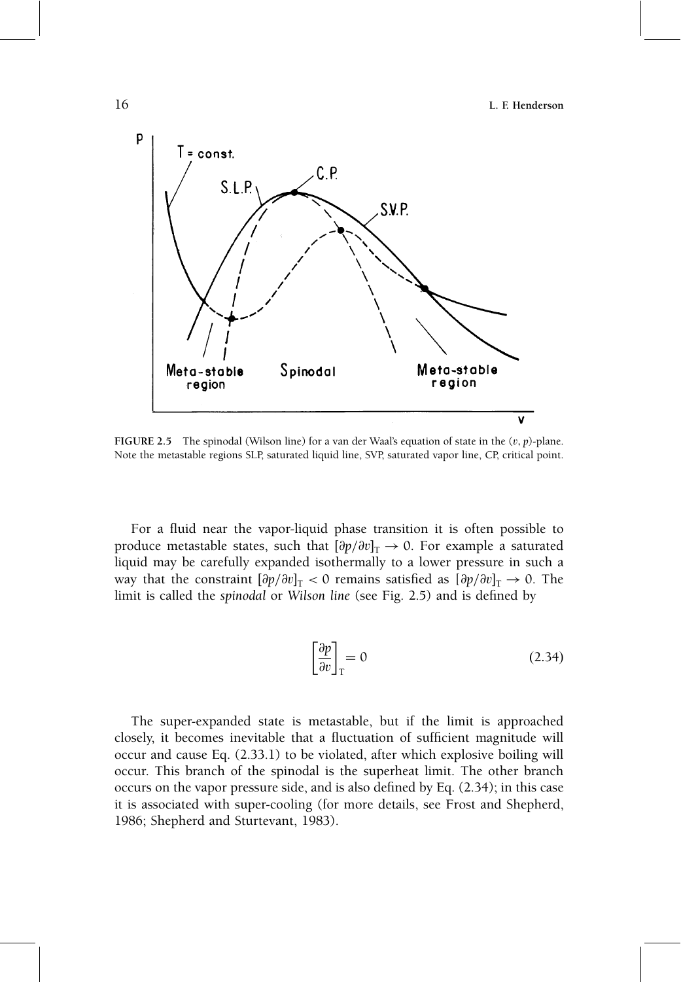

FIGURE 2.5 The spinodal (Wilson line) for a van der Waal's equation of state in the  $(v, p)$ -plane. Note the metastable regions SLP, saturated liquid line, SVP, saturated vapor line, CP, critical point.

For a fluid near the vapor-liquid phase transition it is often possible to produce metastable states, such that  $[\partial p/\partial v]_T \rightarrow 0$ . For example a saturated liquid may be carefully expanded isothermally to a lower pressure in such a way that the constraint  $[\partial p/\partial v]_T < 0$  remains satisfied as  $[\partial p/\partial v]_T \rightarrow 0$ . The limit is called the spinodal or Wilson line (see Fig. 2.5) and is defined by

$$
\left[\frac{\partial p}{\partial v}\right]_T = 0\tag{2.34}
$$

The super-expanded state is metastable, but if the limit is approached closely, it becomes inevitable that a fluctuation of sufficient magnitude will occur and cause Eq. (2.33.1) to be violated, after which explosive boiling will occur. This branch of the spinodal is the superheat limit. The other branch occurs on the vapor pressure side, and is also defined by Eq.  $(2.34)$ ; in this case it is associated with super-cooling (for more details, see Frost and Shepherd, 1986; Shepherd and Sturtevant, 1983).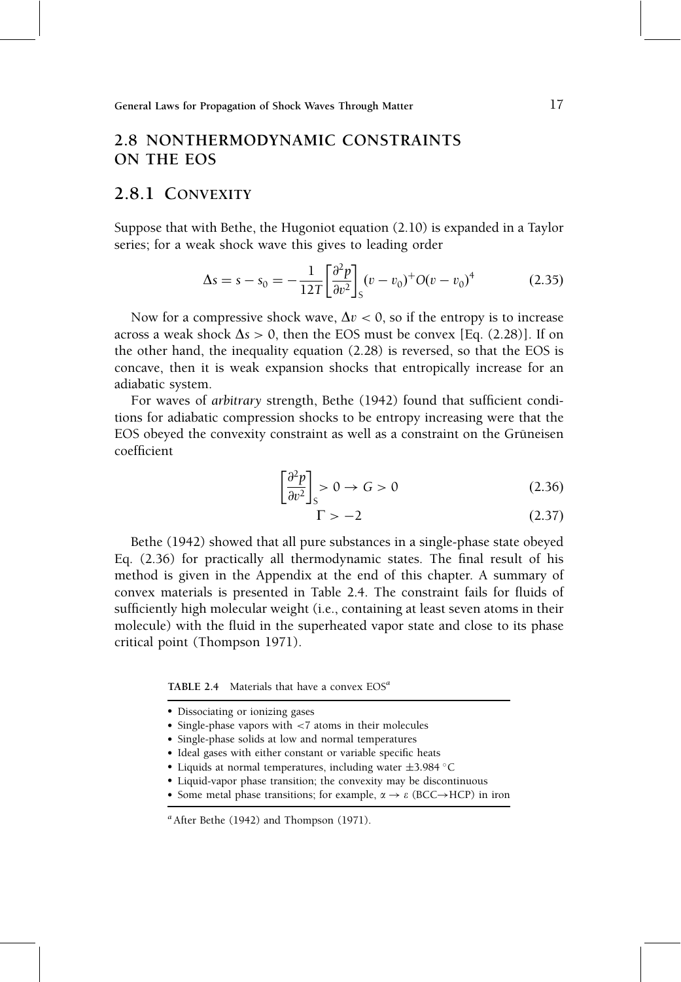### 2.8 NONTHERMODYNAMIC CONSTRAINTS ON THE EOS

### 2.8.1 CONVEXITY

Suppose that with Bethe, the Hugoniot equation (2.10) is expanded in a Taylor series; for a weak shock wave this gives to leading order

$$
\Delta s = s - s_0 = -\frac{1}{12T} \left[ \frac{\partial^2 p}{\partial v^2} \right]_S (v - v_0)^+ O(v - v_0)^4 \tag{2.35}
$$

Now for a compressive shock wave,  $\Delta v < 0$ , so if the entropy is to increase across a weak shock  $\Delta s > 0$ , then the EOS must be convex [Eq. (2.28)]. If on the other hand, the inequality equation (2.28) is reversed, so that the EOS is concave, then it is weak expansion shocks that entropically increase for an adiabatic system.

For waves of arbitrary strength, Bethe (1942) found that sufficient conditions for adiabatic compression shocks to be entropy increasing were that the EOS obeyed the convexity constraint as well as a constraint on the Grüneisen coefficient

$$
\left[\frac{\partial^2 p}{\partial v^2}\right]_S > 0 \to G > 0 \tag{2.36}
$$

$$
\Gamma > -2 \tag{2.37}
$$

Bethe (1942) showed that all pure substances in a single-phase state obeyed Eq. (2.36) for practically all thermodynamic states. The final result of his method is given in the Appendix at the end of this chapter. A summary of convex materials is presented in Table 2.4. The constraint fails for fluids of sufficiently high molecular weight (i.e., containing at least seven atoms in their molecule) with the fluid in the superheated vapor state and close to its phase critical point (Thompson 1971).

**TABLE 2.4** Materials that have a convex  $EOS<sup>a</sup>$ 

- Single-phase solids at low and normal temperatures
- Ideal gases with either constant or variable specific heats
- Liquids at normal temperatures, including water  $\pm 3.984$  °C
- Liquid-vapor phase transition; the convexity may be discontinuous
- Some metal phase transitions; for example,  $\alpha \rightarrow \varepsilon$  (BCC $\rightarrow$ HCP) in iron

Dissociating or ionizing gases

<sup>•</sup> Single-phase vapors with <7 atoms in their molecules

 $a^a$  After Bethe (1942) and Thompson (1971).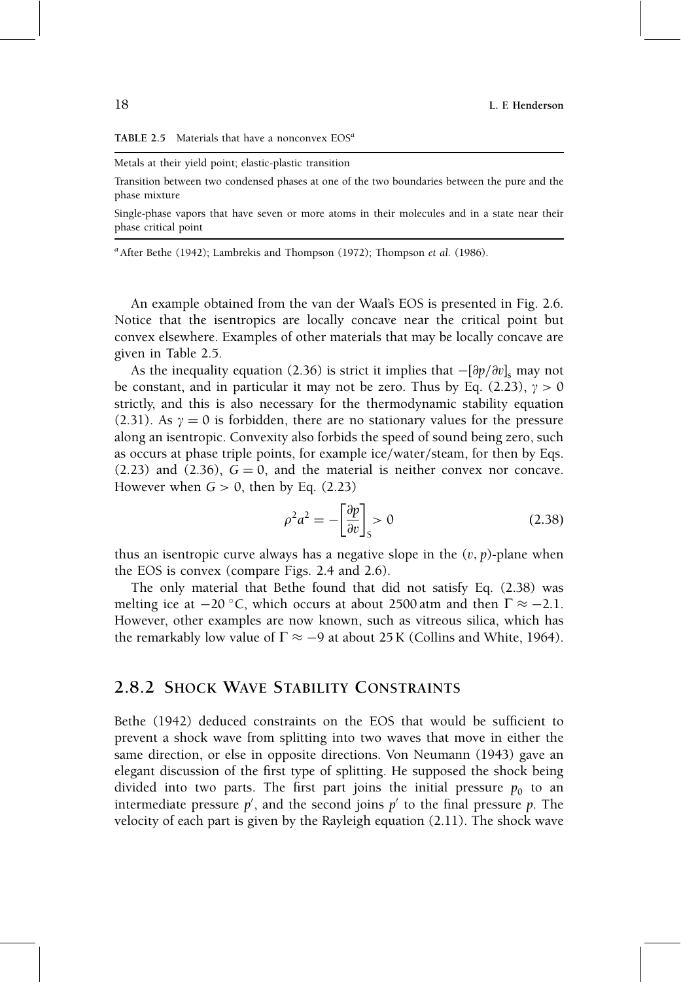#### **TABLE 2.5** Materials that have a nonconvex  $EOS<sup>a</sup>$

#### Metals at their yield point; elastic-plastic transition

Transition between two condensed phases at one of the two boundaries between the pure and the phase mixture

Single-phase vapors that have seven or more atoms in their molecules and in a state near their phase critical point

<sup>a</sup> After Bethe (1942); Lambrekis and Thompson (1972); Thompson et al. (1986).

An example obtained from the van der Waal's EOS is presented in Fig. 2.6. Notice that the isentropics are locally concave near the critical point but convex elsewhere. Examples of other materials that may be locally concave are given in Table 2.5.

As the inequality equation (2.36) is strict it implies that  $-[\partial p/\partial v]_s$  may not be constant, and in particular it may not be zero. Thus by Eq. (2.23),  $\gamma > 0$ strictly, and this is also necessary for the thermodynamic stability equation (2.31). As  $\gamma = 0$  is forbidden, there are no stationary values for the pressure along an isentropic. Convexity also forbids the speed of sound being zero, such as occurs at phase triple points, for example ice/water/steam, for then by Eqs.  $(2.23)$  and  $(2.36)$ ,  $G = 0$ , and the material is neither convex nor concave. However when  $G > 0$ , then by Eq. (2.23)

$$
\rho^2 a^2 = -\left[\frac{\partial p}{\partial v}\right]_S > 0\tag{2.38}
$$

thus an isentropic curve always has a negative slope in the  $(v, p)$ -plane when the EOS is convex (compare Figs. 2.4 and 2.6).

The only material that Bethe found that did not satisfy Eq. (2.38) was melting ice at  $-20$  °C, which occurs at about 2500 atm and then  $\Gamma \approx -2.1$ . However, other examples are now known, such as vitreous silica, which has the remarkably low value of  $\Gamma \approx -9$  at about 25 K (Collins and White, 1964).

### 2.8.2 SHOCK WAVE STABILITY CONSTRAINTS

Bethe (1942) deduced constraints on the EOS that would be sufficient to prevent a shock wave from splitting into two waves that move in either the same direction, or else in opposite directions. Von Neumann (1943) gave an elegant discussion of the first type of splitting. He supposed the shock being divided into two parts. The first part joins the initial pressure  $p_0$  to an intermediate pressure  $p'$ , and the second joins  $p'$  to the final pressure  $p$ . The velocity of each part is given by the Rayleigh equation (2.11). The shock wave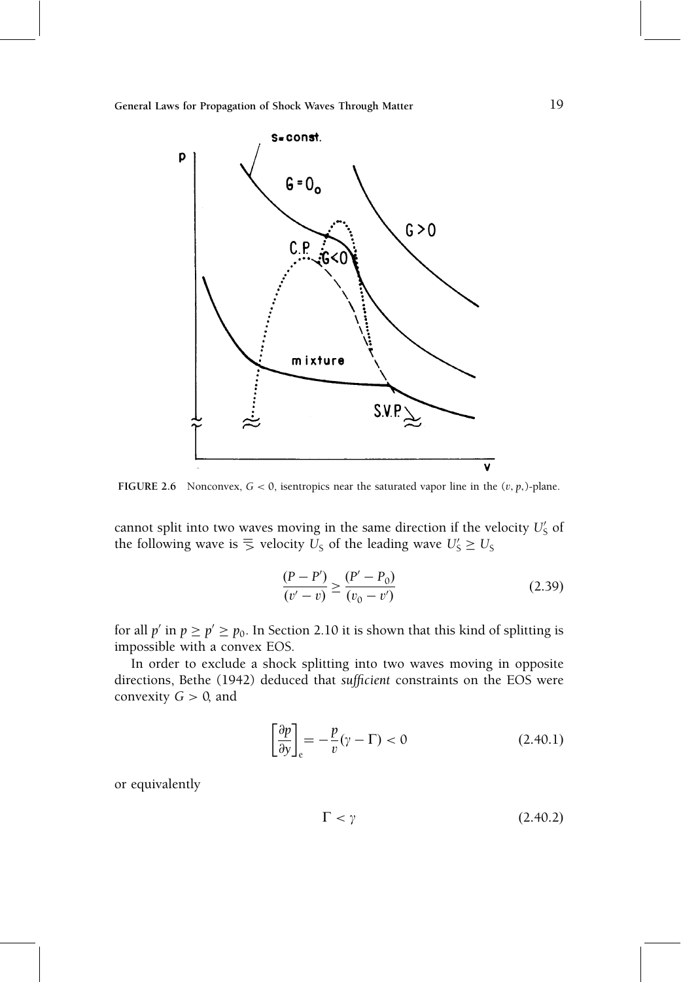

FIGURE 2.6 Nonconvex,  $G < 0$ , isentropics near the saturated vapor line in the  $(v, p, )$ -plane.

cannot split into two waves moving in the same direction if the velocity  $U'_{\mathsf{S}}$  of the following wave is  $\overline{S}$  velocity  $U_S$  of the leading wave  $U_S' \geq U_S$ 

$$
\frac{(P - P')}{(v' - v)} \ge \frac{(P' - P_0)}{(v_0 - v')}
$$
\n(2.39)

for all  $p'$  in  $p \ge p' \ge p_0$ . In Section 2.10 it is shown that this kind of splitting is impossible with a convex EOS.

In order to exclude a shock splitting into two waves moving in opposite directions, Bethe (1942) deduced that sufficient constraints on the EOS were convexity  $G > 0$ , and

$$
\left[\frac{\partial p}{\partial y}\right]_{\text{e}} = -\frac{p}{v}(\gamma - \Gamma) < 0\tag{2.40.1}
$$

or equivalently

$$
\Gamma < \gamma \tag{2.40.2}
$$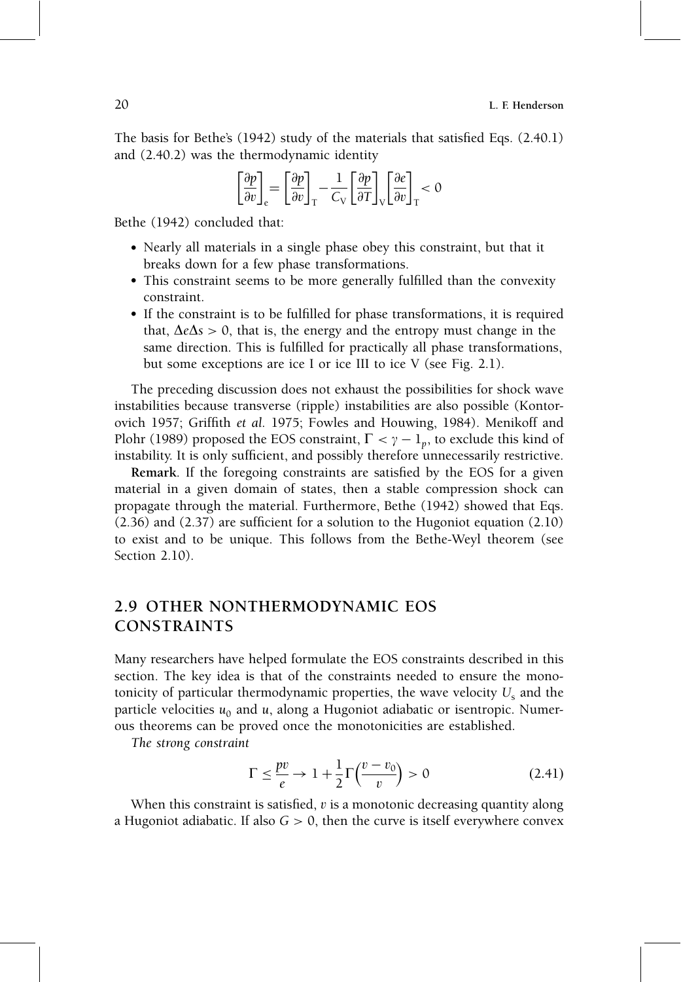The basis for Bethe's  $(1942)$  study of the materials that satisfied Eqs.  $(2.40.1)$ and (2.40.2) was the thermodynamic identity

$$
\left[\frac{\partial p}{\partial v}\right]_{\rm e} = \left[\frac{\partial p}{\partial v}\right]_{\rm T} - \frac{1}{C_{\rm V}}\left[\frac{\partial p}{\partial T}\right]_{\rm V} \left[\frac{\partial e}{\partial v}\right]_{\rm T} < 0
$$

Bethe (1942) concluded that:

- Nearly all materials in a single phase obey this constraint, but that it breaks down for a few phase transformations.
- This constraint seems to be more generally fulfilled than the convexity constraint.
- If the constraint is to be fulfilled for phase transformations, it is required that,  $\Delta e \Delta s > 0$ , that is, the energy and the entropy must change in the same direction. This is fulfilled for practically all phase transformations, but some exceptions are ice I or ice III to ice V (see Fig. 2.1).

The preceding discussion does not exhaust the possibilities for shock wave instabilities because transverse (ripple) instabilities are also possible (Kontorovich 1957; Griffith et al. 1975; Fowles and Houwing, 1984). Menikoff and Plohr (1989) proposed the EOS constraint,  $\Gamma < \gamma - 1_p$ , to exclude this kind of instability. It is only sufficient, and possibly therefore unnecessarily restrictive.

Remark. If the foregoing constraints are satisfied by the EOS for a given material in a given domain of states, then a stable compression shock can propagate through the material. Furthermore, Bethe (1942) showed that Eqs.  $(2.36)$  and  $(2.37)$  are sufficient for a solution to the Hugoniot equation  $(2.10)$ to exist and to be unique. This follows from the Bethe-Weyl theorem (see Section 2.10).

### 2.9 OTHER NONTHERMODYNAMIC EOS CONSTRAINTS

Many researchers have helped formulate the EOS constraints described in this section. The key idea is that of the constraints needed to ensure the monotonicity of particular thermodynamic properties, the wave velocity  $U_s$  and the particle velocities  $u_0$  and u, along a Hugoniot adiabatic or isentropic. Numerous theorems can be proved once the monotonicities are established.

The strong constraint

$$
\Gamma \le \frac{pv}{e} \to 1 + \frac{1}{2} \Gamma\left(\frac{v - v_0}{v}\right) > 0 \tag{2.41}
$$

When this constraint is satisfied,  $v$  is a monotonic decreasing quantity along a Hugoniot adiabatic. If also  $G > 0$ , then the curve is itself everywhere convex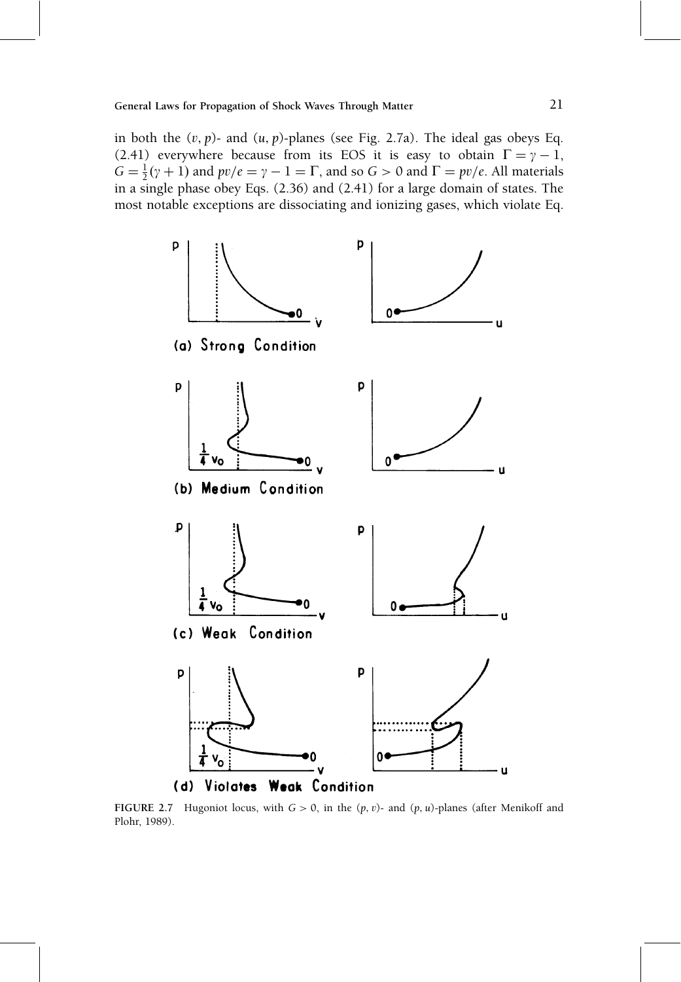in both the  $(v, p)$ - and  $(u, p)$ -planes (see Fig. 2.7a). The ideal gas obeys Eq. (2.41) everywhere because from its EOS it is easy to obtain  $\Gamma = \gamma - 1$ ,  $G = \frac{1}{2}(\gamma + 1)$  and  $pv/e = \gamma - 1 = \Gamma$ , and so  $G > 0$  and  $\Gamma = pv/e$ . All materials in a single phase obey Eqs. (2.36) and (2.41) for a large domain of states. The most notable exceptions are dissociating and ionizing gases, which violate Eq.



FIGURE 2.7 Hugoniot locus, with  $G > 0$ , in the  $(p, v)$ - and  $(p, u)$ -planes (after Menikoff and Plohr, 1989).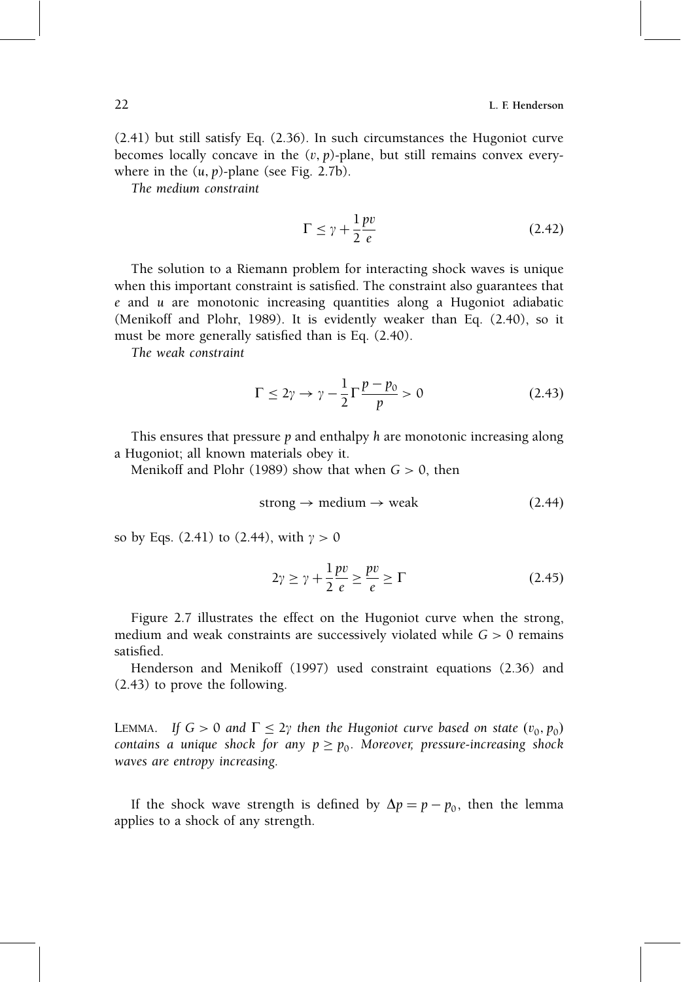(2.41) but still satisfy Eq. (2.36). In such circumstances the Hugoniot curve becomes locally concave in the  $(v, p)$ -plane, but still remains convex everywhere in the  $(u, p)$ -plane (see Fig. 2.7b).

The medium constraint

$$
\Gamma \le \gamma + \frac{1}{2} \frac{pv}{e} \tag{2.42}
$$

The solution to a Riemann problem for interacting shock waves is unique when this important constraint is satisfied. The constraint also guarantees that e and u are monotonic increasing quantities along a Hugoniot adiabatic (Menikoff and Plohr, 1989). It is evidently weaker than Eq. (2.40), so it must be more generally satisfied than is Eq. (2.40).

The weak constraint

$$
\Gamma \le 2\gamma \to \gamma - \frac{1}{2} \Gamma \frac{p - p_0}{p} > 0 \tag{2.43}
$$

This ensures that pressure  $p$  and enthalpy  $h$  are monotonic increasing along a Hugoniot; all known materials obey it.

Menikoff and Plohr (1989) show that when  $G > 0$ , then

$$
strong \to medium \to weak \tag{2.44}
$$

so by Eqs. (2.41) to (2.44), with  $\gamma > 0$ 

$$
2\gamma \ge \gamma + \frac{1}{2} \frac{pv}{e} \ge \frac{pv}{e} \ge \Gamma
$$
 (2.45)

Figure 2.7 illustrates the effect on the Hugoniot curve when the strong, medium and weak constraints are successively violated while  $G > 0$  remains satisfied.

Henderson and Menikoff (1997) used constraint equations (2.36) and (2.43) to prove the following.

LEMMA. If  $G > 0$  and  $\Gamma \leq 2\gamma$  then the Hugoniot curve based on state  $(v_0, p_0)$ contains a unique shock for any  $p \ge p_0$ . Moreover, pressure-increasing shock waves are entropy increasing.

If the shock wave strength is defined by  $\Delta p = p - p_0$ , then the lemma applies to a shock of any strength.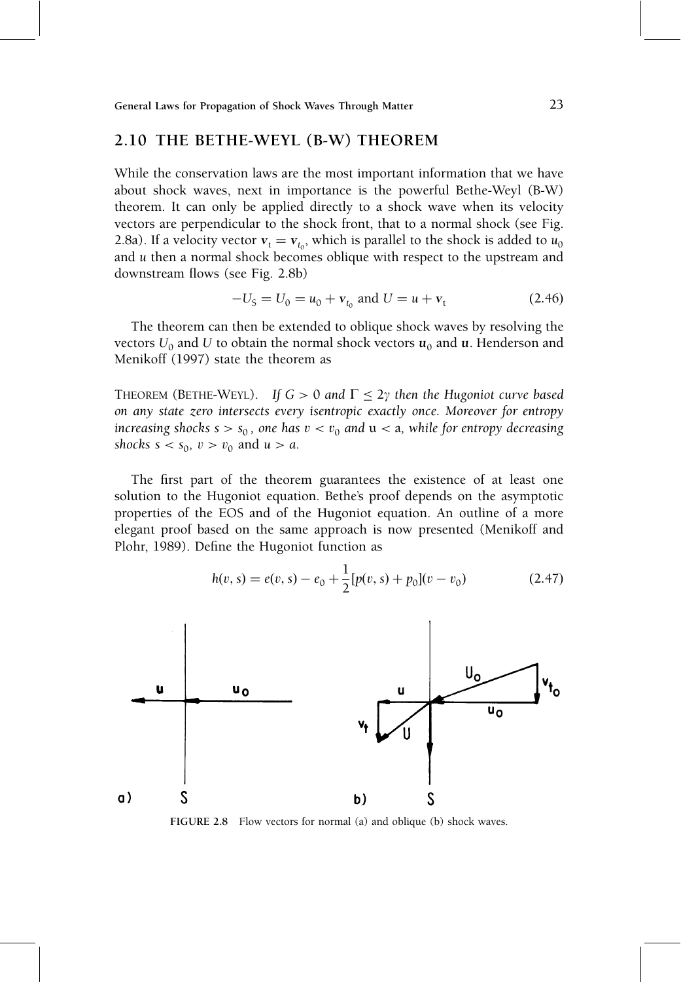### 2.10 THE BETHE-WEYL (B-W) THEOREM

While the conservation laws are the most important information that we have about shock waves, next in importance is the powerful Bethe-Weyl (B-W) theorem. It can only be applied directly to a shock wave when its velocity vectors are perpendicular to the shock front, that to a normal shock (see Fig. 2.8a). If a velocity vector  $v_t = v_{t_0}$ , which is parallel to the shock is added to  $u_0$ and u then a normal shock becomes oblique with respect to the upstream and downstream flows (see Fig. 2.8b)

$$
-U_{\rm S} = U_0 = u_0 + \mathbf{v}_{t_0} \text{ and } U = u + \mathbf{v}_{t}
$$
 (2.46)

The theorem can then be extended to oblique shock waves by resolving the vectors  $U_0$  and U to obtain the normal shock vectors  $u_0$  and u. Henderson and Menikoff (1997) state the theorem as

THEOREM (BETHE-WEYL). If  $G > 0$  and  $\Gamma \leq 2\gamma$  then the Hugoniot curve based on any state zero intersects every isentropic exactly once. Moreover for entropy increasing shocks  $s > s_0$ , one has  $v < v_0$  and  $u < a$ , while for entropy decreasing shocks  $s < s_0$ ,  $v > v_0$  and  $u > a$ .

The first part of the theorem guarantees the existence of at least one solution to the Hugoniot equation. Bethe's proof depends on the asymptotic properties of the EOS and of the Hugoniot equation. An outline of a more elegant proof based on the same approach is now presented (Menikoff and Plohr, 1989). Define the Hugoniot function as

$$
h(v, s) = e(v, s) - e_0 + \frac{1}{2} [p(v, s) + p_0](v - v_0)
$$
\n(2.47)



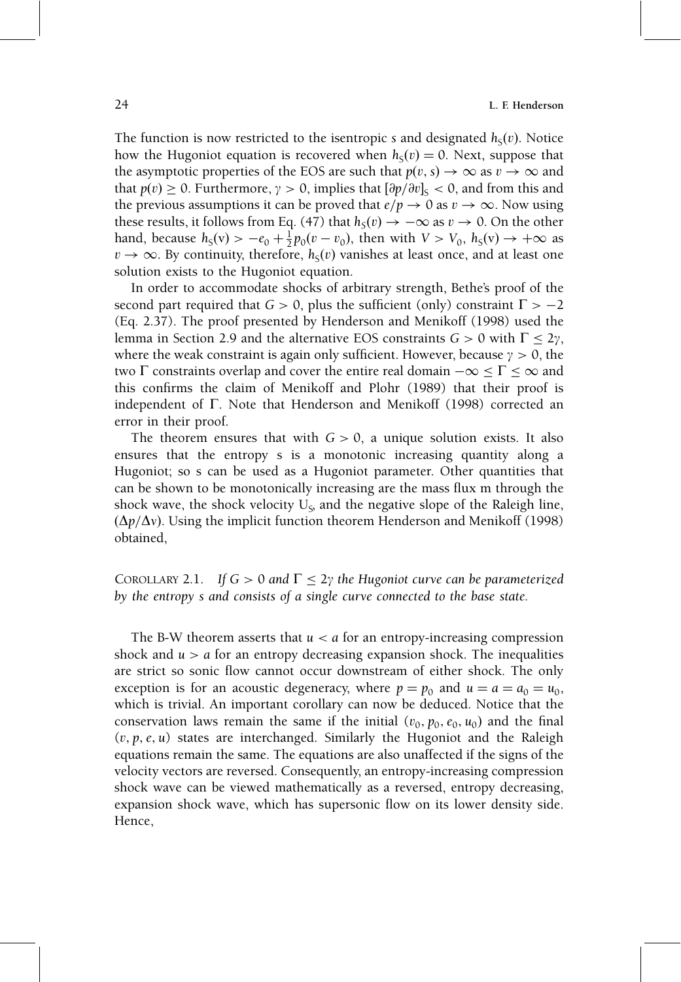The function is now restricted to the isentropic s and designated  $h<sub>s</sub>(v)$ . Notice how the Hugoniot equation is recovered when  $h<sub>s</sub>(v) = 0$ . Next, suppose that the asymptotic properties of the EOS are such that  $p(v, s) \rightarrow \infty$  as  $v \rightarrow \infty$  and that  $p(v) \ge 0$ . Furthermore,  $\gamma > 0$ , implies that  $\left[\frac{\partial p}{\partial v}\right]_S < 0$ , and from this and the previous assumptions it can be proved that  $e/p \to 0$  as  $v \to \infty$ . Now using these results, it follows from Eq. (47) that  $h_S(v) \to -\infty$  as  $v \to 0$ . On the other hand, because  $h_S(v) > -e_0 + \frac{1}{2}p_0(v - v_0)$ , then with  $V > V_0$ ,  $h_S(v) \to +\infty$  as  $v \to \infty$ . By continuity, therefore,  $h<sub>s</sub>(v)$  vanishes at least once, and at least one solution exists to the Hugoniot equation.

In order to accommodate shocks of arbitrary strength, Bethe's proof of the second part required that  $G > 0$ , plus the sufficient (only) constraint  $\Gamma > -2$ (Eq. 2.37). The proof presented by Henderson and Menikoff (1998) used the lemma in Section 2.9 and the alternative EOS constraints  $G > 0$  with  $\Gamma < 2\gamma$ , where the weak constraint is again only sufficient. However, because  $\gamma > 0$ , the two  $\Gamma$  constraints overlap and cover the entire real domain  $-\infty \leq \Gamma \leq \infty$  and this confirms the claim of Menikoff and Plohr (1989) that their proof is independent of  $\Gamma$ . Note that Henderson and Menikoff (1998) corrected an error in their proof.

The theorem ensures that with  $G > 0$ , a unique solution exists. It also ensures that the entropy s is a monotonic increasing quantity along a Hugoniot; so s can be used as a Hugoniot parameter. Other quantities that can be shown to be monotonically increasing are the mass flux m through the shock wave, the shock velocity  $U_{\varsigma}$  and the negative slope of the Raleigh line,  $(\Delta p/\Delta v)$ . Using the implicit function theorem Henderson and Menikoff (1998) obtained,

COROLLARY 2.1. If  $G > 0$  and  $\Gamma \leq 2\gamma$  the Hugoniot curve can be parameterized by the entropy s and consists of a single curve connected to the base state.

The B-W theorem asserts that  $u < a$  for an entropy-increasing compression shock and  $u > a$  for an entropy decreasing expansion shock. The inequalities are strict so sonic flow cannot occur downstream of either shock. The only exception is for an acoustic degeneracy, where  $p = p_0$  and  $u = a = a_0 = u_0$ , which is trivial. An important corollary can now be deduced. Notice that the conservation laws remain the same if the initial  $(v_0, p_0, e_0, u_0)$  and the final  $(v, p, e, u)$  states are interchanged. Similarly the Hugoniot and the Raleigh equations remain the same. The equations are also unaffected if the signs of the velocity vectors are reversed. Consequently, an entropy-increasing compression shock wave can be viewed mathematically as a reversed, entropy decreasing, expansion shock wave, which has supersonic flow on its lower density side. Hence,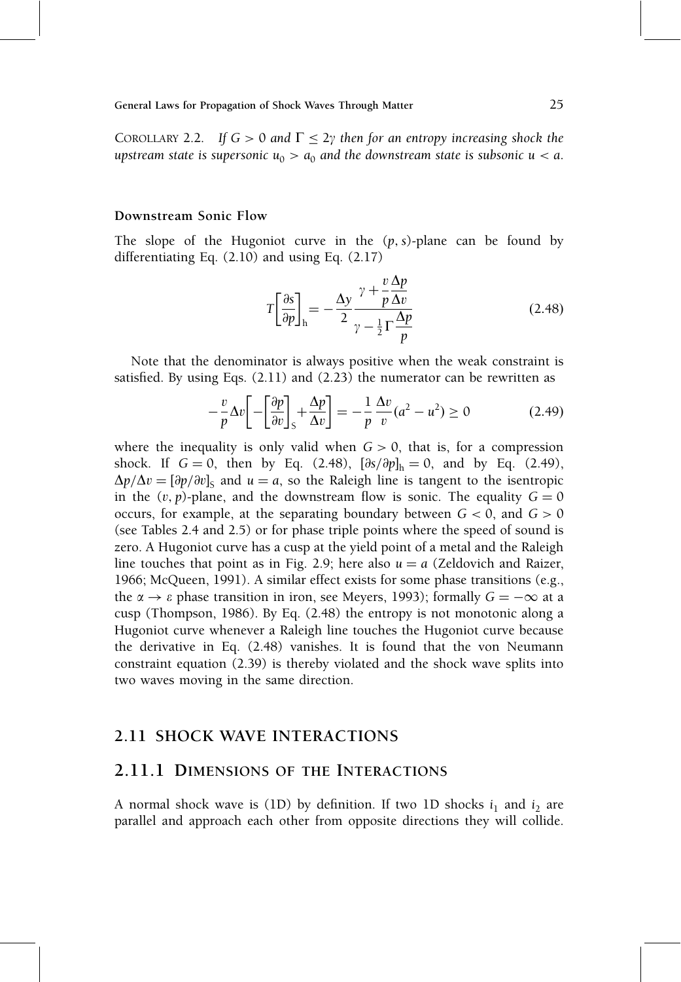COROLLARY 2.2. If  $G > 0$  and  $\Gamma \leq 2\gamma$  then for an entropy increasing shock the upstream state is supersonic  $u_0 > a_0$  and the downstream state is subsonic  $u < a$ .

#### Downstream Sonic Flow

The slope of the Hugoniot curve in the  $(p, s)$ -plane can be found by differentiating Eq. (2.10) and using Eq. (2.17)

$$
T\left[\frac{\partial s}{\partial p}\right]_{\rm h} = -\frac{\Delta y}{2} \frac{\gamma + \frac{v}{p}\frac{\Delta p}{\Delta v}}{\gamma - \frac{1}{2}\Gamma\frac{\Delta p}{p}}
$$
(2.48)

Note that the denominator is always positive when the weak constraint is satisfied. By using Eqs.  $(2.11)$  and  $(2.23)$  the numerator can be rewritten as

$$
-\frac{v}{p}\Delta v \left[ -\left[\frac{\partial p}{\partial v}\right]_S + \frac{\Delta p}{\Delta v} \right] = -\frac{1}{p}\frac{\Delta v}{v}(a^2 - u^2) \ge 0 \tag{2.49}
$$

where the inequality is only valid when  $G > 0$ , that is, for a compression shock. If  $G = 0$ , then by Eq. (2.48),  $[\partial s/\partial p]_h = 0$ , and by Eq. (2.49),  $\Delta p/\Delta v = \left[\frac{\partial p}{\partial v}\right]_S$  and  $u = a$ , so the Raleigh line is tangent to the isentropic in the  $(v, p)$ -plane, and the downstream flow is sonic. The equality  $G = 0$ occurs, for example, at the separating boundary between  $G < 0$ , and  $G > 0$ (see Tables 2.4 and 2.5) or for phase triple points where the speed of sound is zero. A Hugoniot curve has a cusp at the yield point of a metal and the Raleigh line touches that point as in Fig. 2.9; here also  $u = a$  (Zeldovich and Raizer, 1966; McQueen, 1991). A similar effect exists for some phase transitions (e.g., the  $\alpha \rightarrow \varepsilon$  phase transition in iron, see Meyers, 1993); formally  $G = -\infty$  at a cusp (Thompson, 1986). By Eq. (2.48) the entropy is not monotonic along a Hugoniot curve whenever a Raleigh line touches the Hugoniot curve because the derivative in Eq. (2.48) vanishes. It is found that the von Neumann constraint equation (2.39) is thereby violated and the shock wave splits into two waves moving in the same direction.

#### 2.11 SHOCK WAVE INTERACTIONS

#### 2.11.1 DIMENSIONS OF THE INTERACTIONS

A normal shock wave is (1D) by definition. If two 1D shocks  $i_1$  and  $i_2$  are parallel and approach each other from opposite directions they will collide.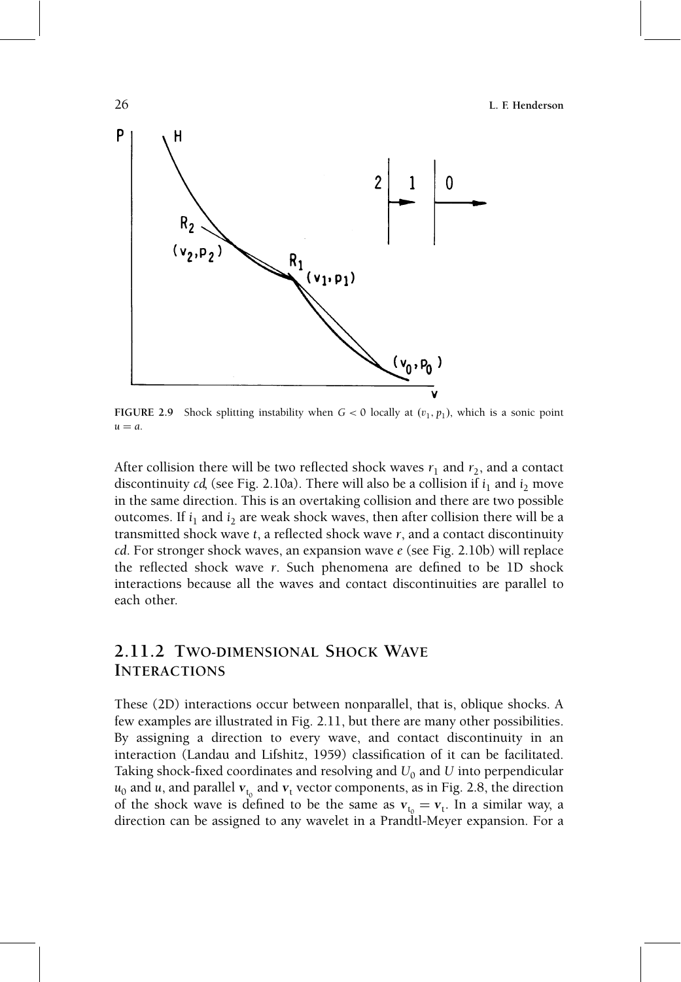26 L. F. Henderson



FIGURE 2.9 Shock splitting instability when  $G < 0$  locally at  $(v_1, p_1)$ , which is a sonic point  $u = a$ .

After collision there will be two reflected shock waves  $r_1$  and  $r_2$ , and a contact discontinuity cd, (see Fig. 2.10a). There will also be a collision if  $i_1$  and  $i_2$  move in the same direction. This is an overtaking collision and there are two possible outcomes. If  $i_1$  and  $i_2$  are weak shock waves, then after collision there will be a transmitted shock wave  $t$ , a reflected shock wave  $r$ , and a contact discontinuity cd. For stronger shock waves, an expansion wave e (see Fig. 2.10b) will replace the reflected shock wave  $r$ . Such phenomena are defined to be 1D shock interactions because all the waves and contact discontinuities are parallel to each other.

### 2.11.2 TWO-DIMENSIONAL SHOCK WAVE INTERACTIONS

These (2D) interactions occur between nonparallel, that is, oblique shocks. A few examples are illustrated in Fig. 2.11, but there are many other possibilities. By assigning a direction to every wave, and contact discontinuity in an interaction (Landau and Lifshitz, 1959) classification of it can be facilitated. Taking shock-fixed coordinates and resolving and  $U_0$  and U into perpendicular  $u_0$  and u, and parallel  $v_{t_0}$  and  $v_t$  vector components, as in Fig. 2.8, the direction of the shock wave is defined to be the same as  $v_t = v_t$ . In a similar way, a direction can be assigned to any wavelet in a Prandtl-Meyer expansion. For a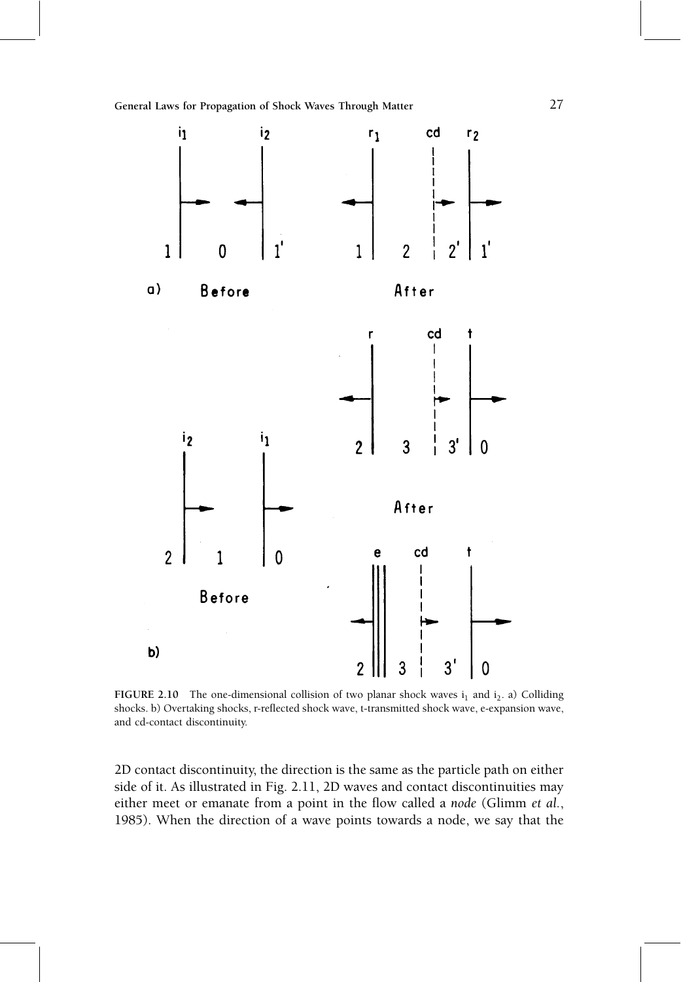

FIGURE 2.10 The one-dimensional collision of two planar shock waves  $i_1$  and  $i_2$ . a) Colliding shocks. b) Overtaking shocks, r-reflected shock wave, t-transmitted shock wave, e-expansion wave, and cd-contact discontinuity.

2D contact discontinuity, the direction is the same as the particle path on either side of it. As illustrated in Fig. 2.11, 2D waves and contact discontinuities may either meet or emanate from a point in the flow called a node (Glimm et al., 1985). When the direction of a wave points towards a node, we say that the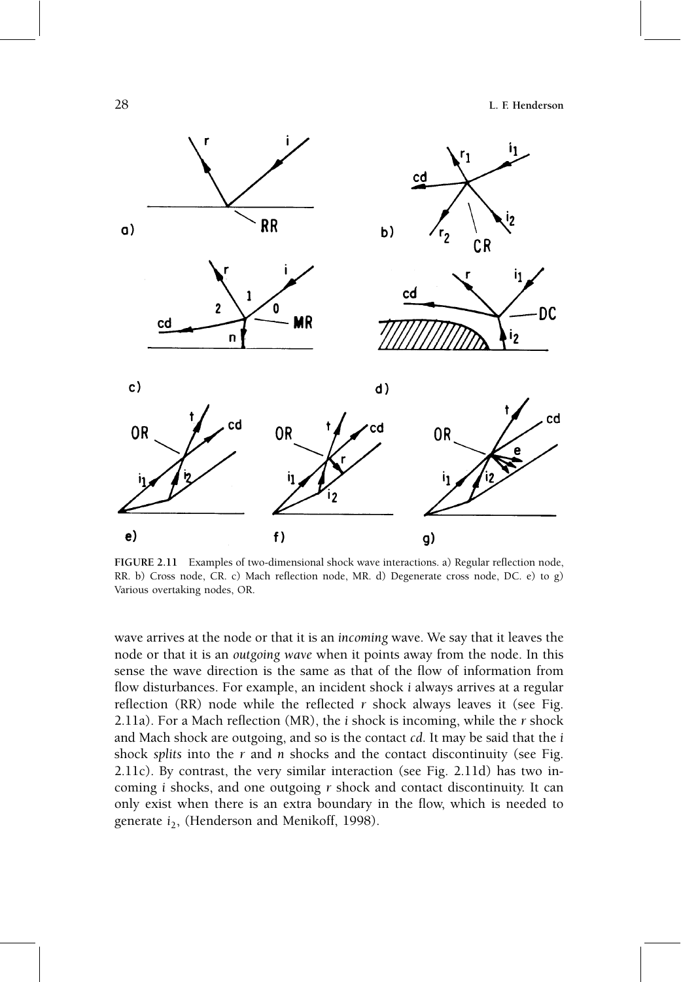

FIGURE 2.11 Examples of two-dimensional shock wave interactions. a) Regular reflection node, RR. b) Cross node, CR. c) Mach reflection node, MR. d) Degenerate cross node, DC. e) to g) Various overtaking nodes, OR.

wave arrives at the node or that it is an incoming wave. We say that it leaves the node or that it is an outgoing wave when it points away from the node. In this sense the wave direction is the same as that of the flow of information from flow disturbances. For example, an incident shock *i* always arrives at a regular reflection (RR) node while the reflected  $r$  shock always leaves it (see Fig. 2.11a). For a Mach reflection (MR), the  $i$  shock is incoming, while the  $r$  shock and Mach shock are outgoing, and so is the contact cd. It may be said that the i shock splits into the  $r$  and  $n$  shocks and the contact discontinuity (see Fig. 2.11c). By contrast, the very similar interaction (see Fig. 2.11d) has two incoming i shocks, and one outgoing r shock and contact discontinuity. It can only exist when there is an extra boundary in the flow, which is needed to generate  $i_2$ , (Henderson and Menikoff, 1998).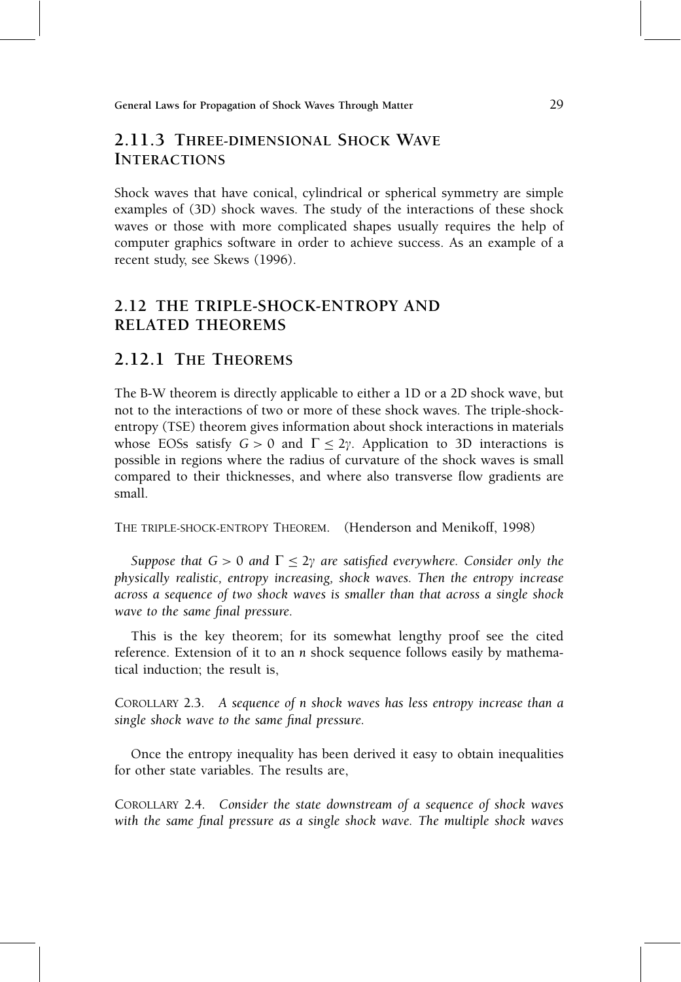### 2.11.3 THREE-DIMENSIONAL SHOCK WAVE INTERACTIONS

Shock waves that have conical, cylindrical or spherical symmetry are simple examples of (3D) shock waves. The study of the interactions of these shock waves or those with more complicated shapes usually requires the help of computer graphics software in order to achieve success. As an example of a recent study, see Skews (1996).

### 2.12 THE TRIPLE-SHOCK-ENTROPY AND RELATED THEOREMS

### 2.12.1 THE THEOREMS

The B-W theorem is directly applicable to either a 1D or a 2D shock wave, but not to the interactions of two or more of these shock waves. The triple-shockentropy (TSE) theorem gives information about shock interactions in materials whose EOSs satisfy  $G > 0$  and  $\Gamma \leq 2\gamma$ . Application to 3D interactions is possible in regions where the radius of curvature of the shock waves is small compared to their thicknesses, and where also transverse flow gradients are small.

THE TRIPLE-SHOCK-ENTROPY THEOREM. (Henderson and Menikoff, 1998)

Suppose that  $G > 0$  and  $\Gamma \leq 2\gamma$  are satisfied everywhere. Consider only the physically realistic, entropy increasing, shock waves. Then the entropy increase across a sequence of two shock waves is smaller than that across a single shock wave to the same final pressure.

This is the key theorem; for its somewhat lengthy proof see the cited reference. Extension of it to an n shock sequence follows easily by mathematical induction; the result is,

COROLLARY 2.3. A sequence of n shock waves has less entropy increase than a single shock wave to the same final pressure.

Once the entropy inequality has been derived it easy to obtain inequalities for other state variables. The results are,

COROLLARY 2.4. Consider the state downstream of a sequence of shock waves with the same final pressure as a single shock wave. The multiple shock waves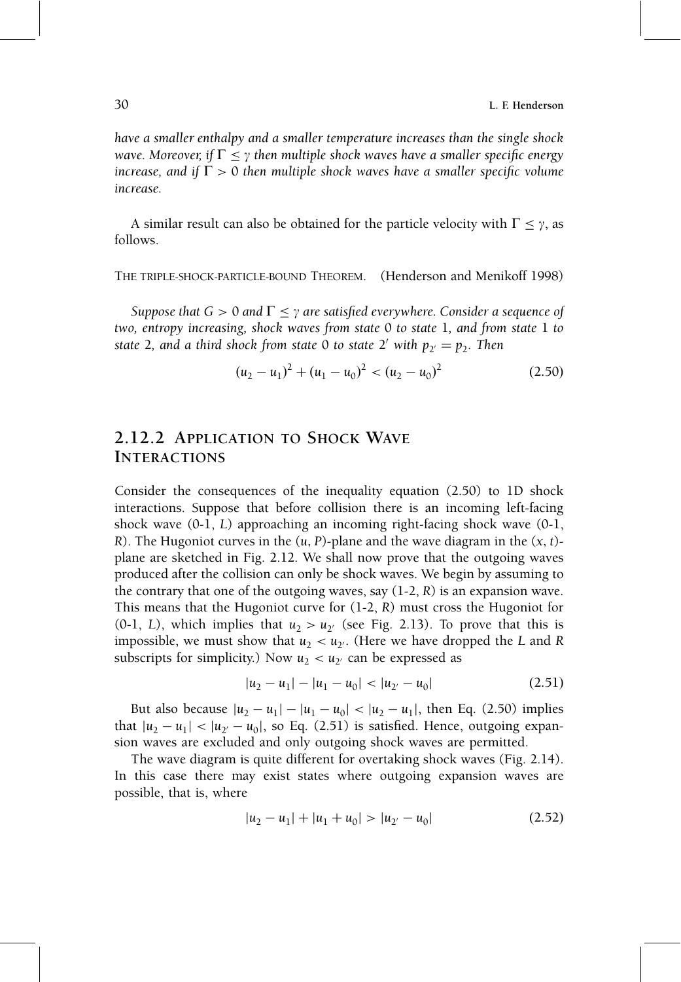have a smaller enthalpy and a smaller temperature increases than the single shock wave. Moreover, if  $\Gamma \leq \gamma$  then multiple shock waves have a smaller specific energy increase, and if  $\Gamma > 0$  then multiple shock waves have a smaller specific volume increase.

A similar result can also be obtained for the particle velocity with  $\Gamma \leq \gamma$ , as follows.

THE TRIPLE-SHOCK-PARTICLE-BOUND THEOREM. (Henderson and Menikoff 1998)

Suppose that  $G > 0$  and  $\Gamma \leq \gamma$  are satisfied everywhere. Consider a sequence of two, entropy increasing, shock waves from state 0 to state 1, and from state 1 to state 2, and a third shock from state 0 to state 2' with  $p_{2} = p_{2}$ . Then

$$
(u_2 - u_1)^2 + (u_1 - u_0)^2 < (u_2 - u_0)^2 \tag{2.50}
$$

### 2.12.2 APPLICATION TO SHOCK WAVE INTERACTIONS

Consider the consequences of the inequality equation (2.50) to 1D shock interactions. Suppose that before collision there is an incoming left-facing shock wave (0-1, L) approaching an incoming right-facing shock wave (0-1, R). The Hugoniot curves in the  $(u, P)$ -plane and the wave diagram in the  $(x, t)$ plane are sketched in Fig. 2.12. We shall now prove that the outgoing waves produced after the collision can only be shock waves. We begin by assuming to the contrary that one of the outgoing waves, say  $(1-2, R)$  is an expansion wave. This means that the Hugoniot curve for  $(1-2, R)$  must cross the Hugoniot for (0-1, L), which implies that  $u_2 > u_{2'}$  (see Fig. 2.13). To prove that this is impossible, we must show that  $u_2 < u_2$ . (Here we have dropped the L and R subscripts for simplicity.) Now  $u_2 < u_2$  can be expressed as

$$
|u_2 - u_1| - |u_1 - u_0| < |u_{2'} - u_0| \tag{2.51}
$$

But also because  $|u_2 - u_1| - |u_1 - u_0| < |u_2 - u_1|$ , then Eq. (2.50) implies that  $|u_2 - u_1| < |u_{2'} - u_0|$ , so Eq. (2.51) is satisfied. Hence, outgoing expansion waves are excluded and only outgoing shock waves are permitted.

The wave diagram is quite different for overtaking shock waves (Fig. 2.14). In this case there may exist states where outgoing expansion waves are possible, that is, where

$$
|u_2 - u_1| + |u_1 + u_0| > |u_{2'} - u_0|
$$
 (2.52)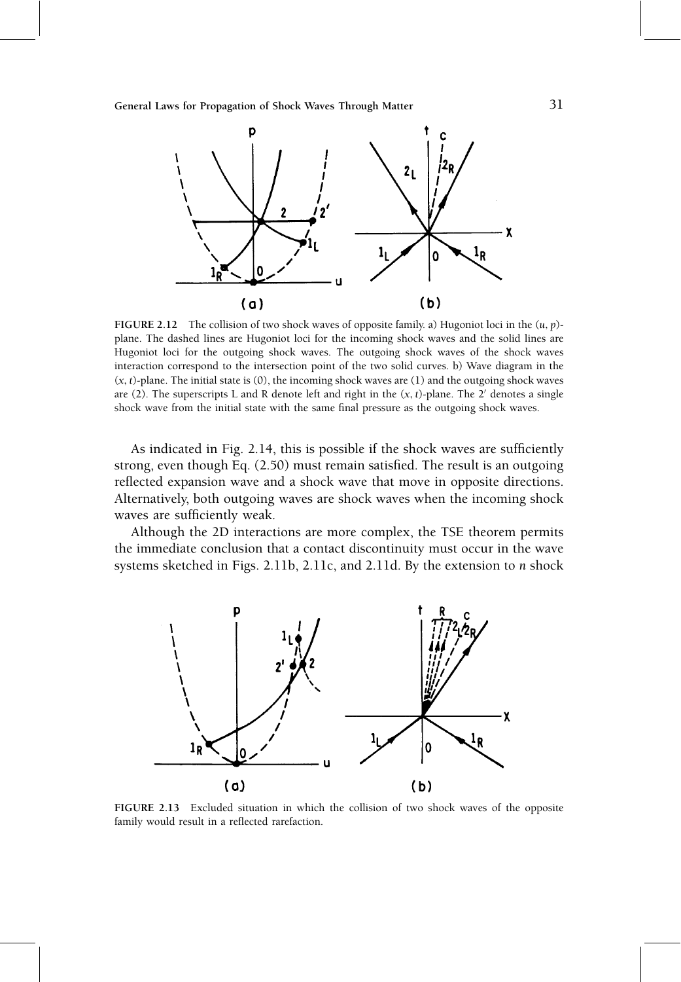

FIGURE 2.12 The collision of two shock waves of opposite family. a) Hugoniot loci in the  $(u, p)$ plane. The dashed lines are Hugoniot loci for the incoming shock waves and the solid lines are Hugoniot loci for the outgoing shock waves. The outgoing shock waves of the shock waves interaction correspond to the intersection point of the two solid curves. b) Wave diagram in the  $(x, t)$ -plane. The initial state is  $(0)$ , the incoming shock waves are  $(1)$  and the outgoing shock waves are (2). The superscripts L and R denote left and right in the  $(x, t)$ -plane. The 2' denotes a single shock wave from the initial state with the same final pressure as the outgoing shock waves.

As indicated in Fig. 2.14, this is possible if the shock waves are sufficiently strong, even though Eq.  $(2.50)$  must remain satisfied. The result is an outgoing reflected expansion wave and a shock wave that move in opposite directions. Alternatively, both outgoing waves are shock waves when the incoming shock waves are sufficiently weak.

Although the 2D interactions are more complex, the TSE theorem permits the immediate conclusion that a contact discontinuity must occur in the wave systems sketched in Figs. 2.11b, 2.11c, and 2.11d. By the extension to n shock



FIGURE 2.13 Excluded situation in which the collision of two shock waves of the opposite family would result in a reflected rarefaction.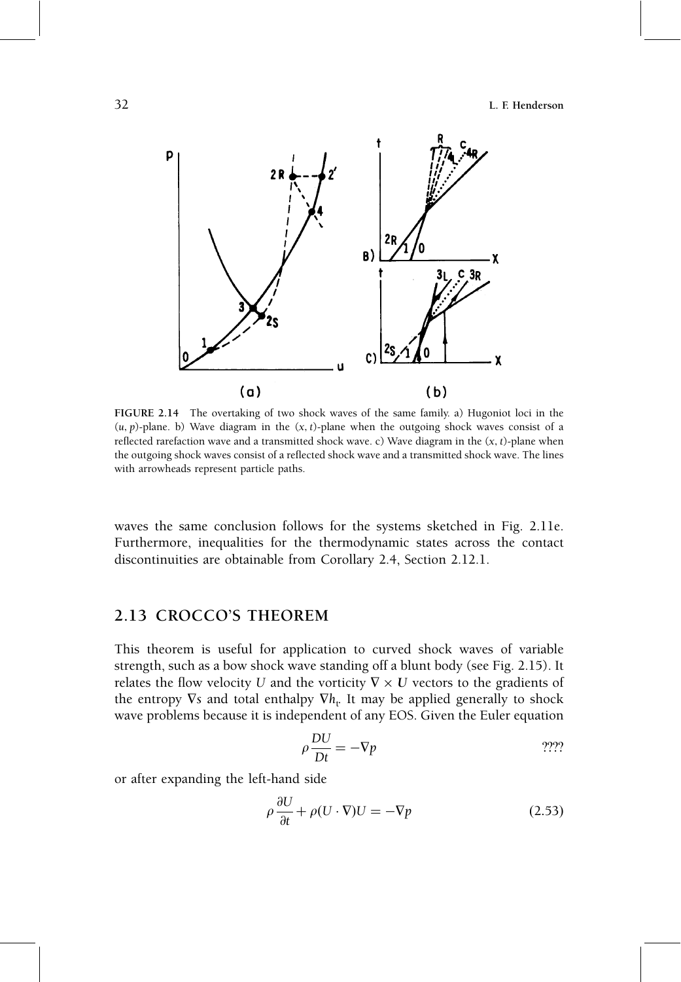32 L. F. Henderson



FIGURE 2.14 The overtaking of two shock waves of the same family. a) Hugoniot loci in the  $(u, p)$ -plane. b) Wave diagram in the  $(x, t)$ -plane when the outgoing shock waves consist of a reflected rarefaction wave and a transmitted shock wave. c) Wave diagram in the  $(x, t)$ -plane when the outgoing shock waves consist of a reflected shock wave and a transmitted shock wave. The lines with arrowheads represent particle paths.

waves the same conclusion follows for the systems sketched in Fig. 2.11e. Furthermore, inequalities for the thermodynamic states across the contact discontinuities are obtainable from Corollary 2.4, Section 2.12.1.

### 2.13 CROCCO'S THEOREM

This theorem is useful for application to curved shock waves of variable strength, such as a bow shock wave standing off a blunt body (see Fig. 2.15). It relates the flow velocity U and the vorticity  $\nabla \times U$  vectors to the gradients of the entropy  $\nabla s$  and total enthalpy  $\nabla h_t$ . It may be applied generally to shock wave problems because it is independent of any EOS. Given the Euler equation

$$
\rho \frac{DU}{Dt} = -\nabla p \tag{222}
$$

or after expanding the left-hand side

$$
\rho \frac{\partial U}{\partial t} + \rho (U \cdot \nabla) U = -\nabla p \tag{2.53}
$$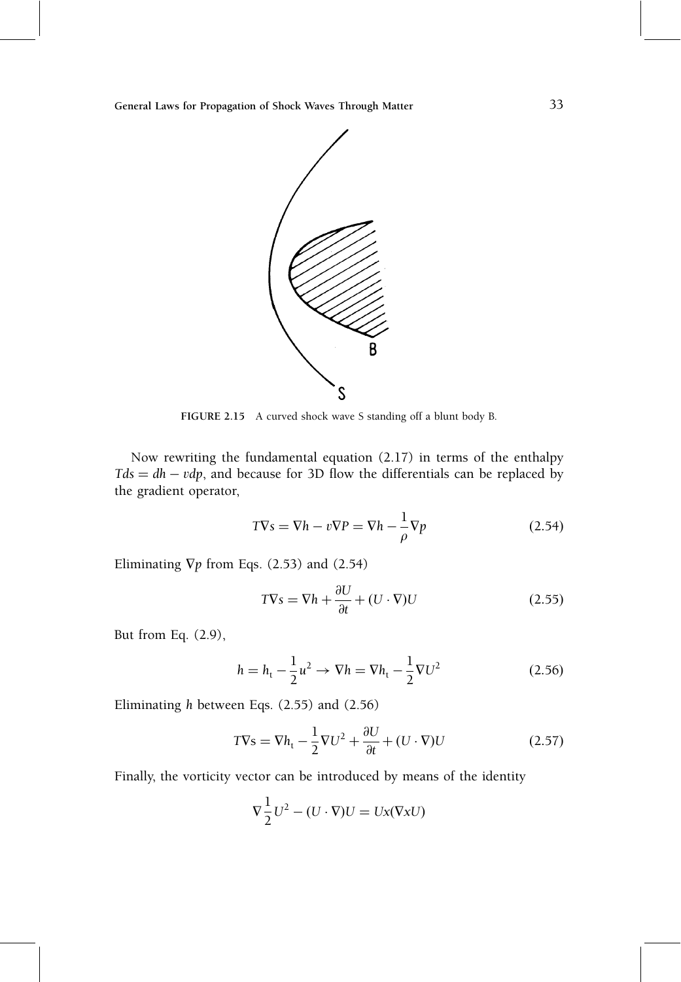

FIGURE 2.15 A curved shock wave S standing off a blunt body B.

Now rewriting the fundamental equation (2.17) in terms of the enthalpy  $Tds = dh - vdp$ , and because for 3D flow the differentials can be replaced by the gradient operator,

$$
T\nabla s = \nabla h - v\nabla P = \nabla h - \frac{1}{\rho} \nabla p \tag{2.54}
$$

Eliminating  $\nabla p$  from Eqs. (2.53) and (2.54)

$$
T\nabla s = \nabla h + \frac{\partial U}{\partial t} + (U \cdot \nabla)U
$$
\n(2.55)

But from Eq. (2.9),

$$
h = h_{t} - \frac{1}{2}u^{2} \to \nabla h = \nabla h_{t} - \frac{1}{2}\nabla U^{2}
$$
 (2.56)

Eliminating h between Eqs. (2.55) and (2.56)

$$
T\nabla s = \nabla h_t - \frac{1}{2}\nabla U^2 + \frac{\partial U}{\partial t} + (U \cdot \nabla)U
$$
\n(2.57)

Finally, the vorticity vector can be introduced by means of the identity

$$
\nabla \frac{1}{2} U^2 - (U \cdot \nabla) U = Ux(\nabla x U)
$$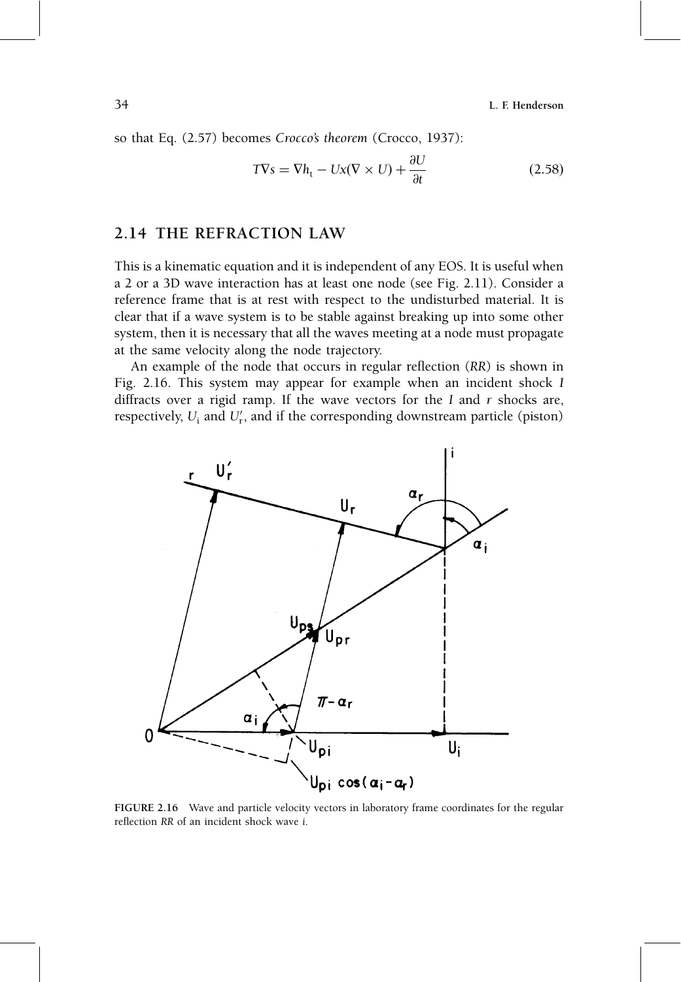34 L. F. Henderson

so that Eq. (2.57) becomes Crocco's theorem (Crocco, 1937):

$$
TVs = Vh_t - Ux(V \times U) + \frac{\partial U}{\partial t}
$$
\n(2.58)

#### 2.14 THE REFRACTION LAW

This is a kinematic equation and it is independent of any EOS. It is useful when a 2 or a 3D wave interaction has at least one node (see Fig. 2.11). Consider a reference frame that is at rest with respect to the undisturbed material. It is clear that if a wave system is to be stable against breaking up into some other system, then it is necessary that all the waves meeting at a node must propagate at the same velocity along the node trajectory.

An example of the node that occurs in regular reflection  $(RR)$  is shown in Fig. 2.16. This system may appear for example when an incident shock I diffracts over a rigid ramp. If the wave vectors for the I and  $r$  shocks are, respectively,  $U_{\rm i}$  and  $U_{\rm r}^\prime$ , and if the corresponding downstream particle (piston)



FIGURE 2.16 Wave and particle velocity vectors in laboratory frame coordinates for the regular reflection RR of an incident shock wave i.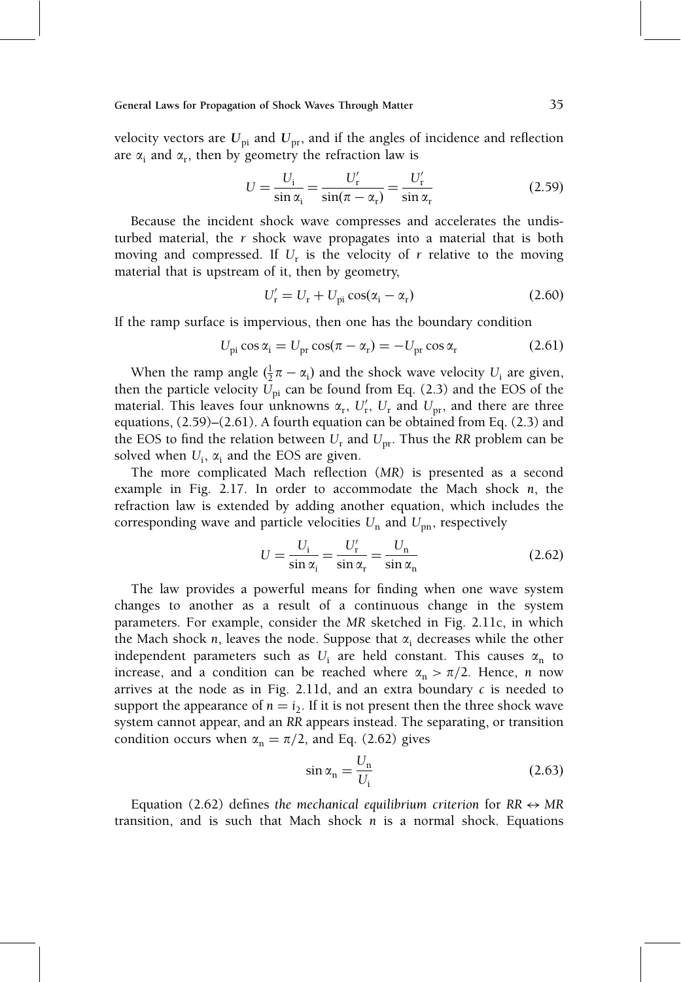velocity vectors are  $U_{pi}$  and  $U_{pr}$ , and if the angles of incidence and reflection are  $\alpha_i$  and  $\alpha_r$ , then by geometry the refraction law is

$$
U = \frac{U_{\rm i}}{\sin \alpha_{\rm i}} = \frac{U_{\rm r}'}{\sin(\pi - \alpha_{\rm r})} = \frac{U_{\rm r}'}{\sin \alpha_{\rm r}}\tag{2.59}
$$

Because the incident shock wave compresses and accelerates the undisturbed material, the r shock wave propagates into a material that is both moving and compressed. If  $U_r$  is the velocity of r relative to the moving material that is upstream of it, then by geometry,

$$
U'_{\rm r} = U_{\rm r} + U_{\rm pi} \cos(\alpha_{\rm i} - \alpha_{\rm r}) \tag{2.60}
$$

If the ramp surface is impervious, then one has the boundary condition

$$
U_{\rm pi}\cos\alpha_{\rm i}=U_{\rm pr}\cos(\pi-\alpha_{\rm r})=-U_{\rm pr}\cos\alpha_{\rm r}
$$
 (2.61)

When the ramp angle  $(\frac{1}{2}\pi - \alpha_i)$  and the shock wave velocity  $U_i$  are given, then the particle velocity  $U_{pi}$  can be found from Eq. (2.3) and the EOS of the material. This leaves four unknowns  $\alpha_{\rm r}$ ,  $U'_{\rm r}$ ,  $U_{\rm r}$  and  $U_{\rm pr}$ , and there are three equations,  $(2.59)$ – $(2.61)$ . A fourth equation can be obtained from Eq.  $(2.3)$  and the EOS to find the relation between  $U_r$  and  $U_{pr}$ . Thus the RR problem can be solved when  $U_i$ ,  $\alpha_i$  and the EOS are given.

The more complicated Mach reflection (MR) is presented as a second example in Fig. 2.17. In order to accommodate the Mach shock n, the refraction law is extended by adding another equation, which includes the corresponding wave and particle velocities  $U_n$  and  $U_{pn}$ , respectively

$$
U = \frac{U_{\rm i}}{\sin \alpha_{\rm i}} = \frac{U_{\rm r}'}{\sin \alpha_{\rm r}} = \frac{U_{\rm n}}{\sin \alpha_{\rm n}}\tag{2.62}
$$

The law provides a powerful means for finding when one wave system changes to another as a result of a continuous change in the system parameters. For example, consider the MR sketched in Fig. 2.11c, in which the Mach shock n, leaves the node. Suppose that  $\alpha_i$  decreases while the other independent parameters such as  $U_i$  are held constant. This causes  $\alpha_n$  to increase, and a condition can be reached where  $\alpha_n > \pi/2$ . Hence, n now arrives at the node as in Fig. 2.11d, and an extra boundary  $c$  is needed to support the appearance of  $n = i_2$ . If it is not present then the three shock wave system cannot appear, and an RR appears instead. The separating, or transition condition occurs when  $\alpha_n = \pi/2$ , and Eq. (2.62) gives

$$
\sin \alpha_{\rm n} = \frac{U_{\rm n}}{U_{\rm i}}\tag{2.63}
$$

Equation (2.62) defines the mechanical equilibrium criterion for  $RR \leftrightarrow MR$ transition, and is such that Mach shock  $n$  is a normal shock. Equations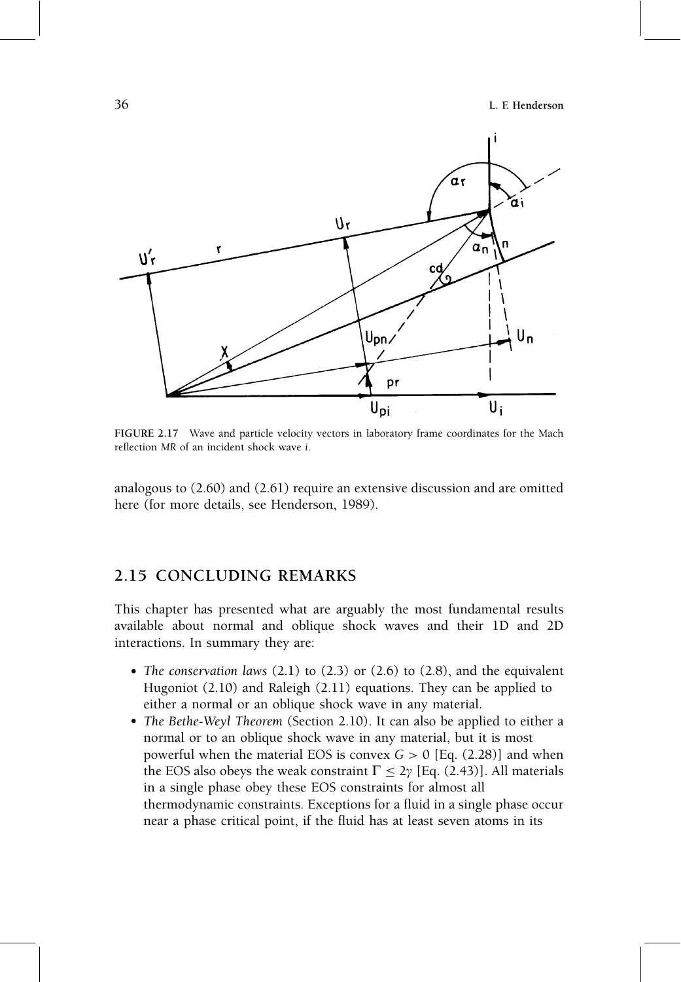36 L. F. Henderson



FIGURE 2.17 Wave and particle velocity vectors in laboratory frame coordinates for the Mach reflection MR of an incident shock wave i.

analogous to (2.60) and (2.61) require an extensive discussion and are omitted here (for more details, see Henderson, 1989).

### 2.15 CONCLUDING REMARKS

This chapter has presented what are arguably the most fundamental results available about normal and oblique shock waves and their 1D and 2D interactions. In summary they are:

- The conservation laws (2.1) to (2.3) or (2.6) to (2.8), and the equivalent Hugoniot (2.10) and Raleigh (2.11) equations. They can be applied to either a normal or an oblique shock wave in any material.
- The Bethe-Weyl Theorem (Section 2.10). It can also be applied to either a normal or to an oblique shock wave in any material, but it is most powerful when the material EOS is convex  $G > 0$  [Eq. (2.28)] and when the EOS also obeys the weak constraint  $\Gamma \leq 2\gamma$  [Eq. (2.43)]. All materials in a single phase obey these EOS constraints for almost all thermodynamic constraints. Exceptions for a fluid in a single phase occur near a phase critical point, if the fluid has at least seven atoms in its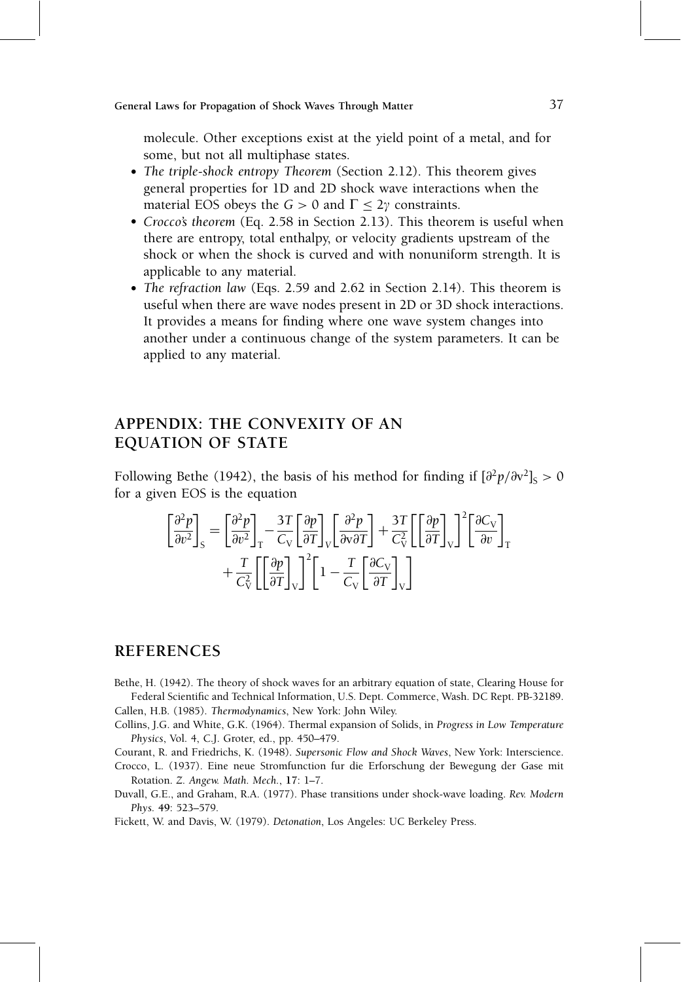molecule. Other exceptions exist at the yield point of a metal, and for some, but not all multiphase states.

- The triple-shock entropy Theorem (Section 2.12). This theorem gives general properties for 1D and 2D shock wave interactions when the material EOS obeys the  $G > 0$  and  $\Gamma \leq 2\gamma$  constraints.
- Crocco's theorem (Eq. 2.58 in Section 2.13). This theorem is useful when there are entropy, total enthalpy, or velocity gradients upstream of the shock or when the shock is curved and with nonuniform strength. It is applicable to any material.
- The refraction law (Eqs. 2.59 and 2.62 in Section 2.14). This theorem is useful when there are wave nodes present in 2D or 3D shock interactions. It provides a means for finding where one wave system changes into another under a continuous change of the system parameters. It can be applied to any material.

### APPENDIX: THE CONVEXITY OF AN EQUATION OF STATE

Following Bethe (1942), the basis of his method for finding if  $\left[\frac{\partial^2 p}{\partial v^2}\right]_S > 0$ for a given EOS is the equation

$$
\begin{aligned}\n\left[\frac{\partial^2 p}{\partial v^2}\right]_{\rm S} &= \left[\frac{\partial^2 p}{\partial v^2}\right]_{\rm T} - \frac{3T}{C_{\rm V}} \left[\frac{\partial p}{\partial T}\right]_{\rm V} \left[\frac{\partial^2 p}{\partial v \partial T}\right] + \frac{3T}{C_{\rm V}^2} \left[\left[\frac{\partial p}{\partial T}\right]_{\rm V}\right]^2 \left[\frac{\partial C_{\rm V}}{\partial v}\right]_{\rm T} \\
&+ \frac{T}{C_{\rm V}^2} \left[\left[\frac{\partial p}{\partial T}\right]_{\rm V}\right]^2 \left[1 - \frac{T}{C_{\rm V}} \left[\frac{\partial C_{\rm V}}{\partial T}\right]_{\rm V}\right]\n\end{aligned}
$$

#### REFERENCES

- Bethe, H. (1942). The theory of shock waves for an arbitrary equation of state, Clearing House for Federal Scientific and Technical Information, U.S. Dept. Commerce, Wash. DC Rept. PB-32189. Callen, H.B. (1985). Thermodynamics, New York: John Wiley.
- Collins, J.G. and White, G.K. (1964). Thermal expansion of Solids, in Progress in Low Temperature Physics, Vol. 4, C.J. Groter, ed., pp. 450-479.

Courant, R. and Friedrichs, K. (1948). Supersonic Flow and Shock Waves, New York: Interscience.

Crocco, L. (1937). Eine neue Stromfunction fur die Erforschung der Bewegung der Gase mit Rotation. Z. Angew. Math. Mech., 17: 1-7.

Duvall, G.E., and Graham, R.A. (1977). Phase transitions under shock-wave loading. Rev. Modern Phys. 49: 523-579.

Fickett, W. and Davis, W. (1979). Detonation, Los Angeles: UC Berkeley Press.